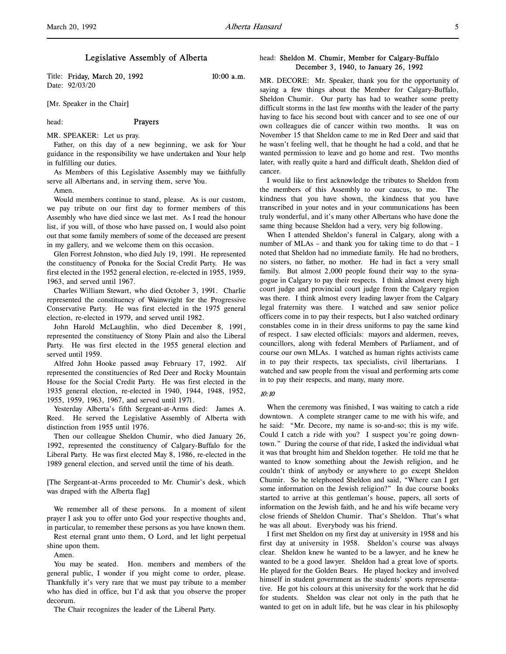Title: Friday, March 20, 1992 10:00 a.m. Date: 92/03/20

[Mr. Speaker in the Chair]

l,

# head: **Prayers**

MR. SPEAKER: Let us pray.

Father, on this day of a new beginning, we ask for Your guidance in the responsibility we have undertaken and Your help in fulfilling our duties.

As Members of this Legislative Assembly may we faithfully serve all Albertans and, in serving them, serve You.

Amen.

Would members continue to stand, please. As is our custom, we pay tribute on our first day to former members of this Assembly who have died since we last met. As I read the honour list, if you will, of those who have passed on, I would also point out that some family members of some of the deceased are present in my gallery, and we welcome them on this occasion.

Glen Forrest Johnston, who died July 19, 1991. He represented the constituency of Ponoka for the Social Credit Party. He was first elected in the 1952 general election, re-elected in 1955, 1959, 1963, and served until 1967.

Charles William Stewart, who died October 3, 1991. Charlie represented the constituency of Wainwright for the Progressive Conservative Party. He was first elected in the 1975 general election, re-elected in 1979, and served until 1982.

John Harold McLaughlin, who died December 8, 1991, represented the constituency of Stony Plain and also the Liberal Party. He was first elected in the 1955 general election and served until 1959.

Alfred John Hooke passed away February 17, 1992. Alf represented the constituencies of Red Deer and Rocky Mountain House for the Social Credit Party. He was first elected in the 1935 general election, re-elected in 1940, 1944, 1948, 1952, 1955, 1959, 1963, 1967, and served until 1971.

Yesterday Alberta's fifth Sergeant-at-Arms died: James A. Reed. He served the Legislative Assembly of Alberta with distinction from 1955 until 1976.

Then our colleague Sheldon Chumir, who died January 26, 1992, represented the constituency of Calgary-Buffalo for the Liberal Party. He was first elected May 8, 1986, re-elected in the 1989 general election, and served until the time of his death.

[The Sergeant-at-Arms proceeded to Mr. Chumir's desk, which was draped with the Alberta flag]

We remember all of these persons. In a moment of silent prayer I ask you to offer unto God your respective thoughts and, in particular, to remember these persons as you have known them.

Rest eternal grant unto them, O Lord, and let light perpetual shine upon them.

Amen.

You may be seated. Hon. members and members of the general public, I wonder if you might come to order, please. Thankfully it's very rare that we must pay tribute to a member who has died in office, but I'd ask that you observe the proper decorum.

The Chair recognizes the leader of the Liberal Party.

### head: Sheldon M. Chumir, Member for Calgary-Buffalo December 3, 1940, to January 26, 1992

MR. DECORE: Mr. Speaker, thank you for the opportunity of saying a few things about the Member for Calgary-Buffalo, Sheldon Chumir. Our party has had to weather some pretty difficult storms in the last few months with the leader of the party having to face his second bout with cancer and to see one of our own colleagues die of cancer within two months. It was on November 15 that Sheldon came to me in Red Deer and said that he wasn't feeling well, that he thought he had a cold, and that he wanted permission to leave and go home and rest. Two months later, with really quite a hard and difficult death, Sheldon died of cancer.

I would like to first acknowledge the tributes to Sheldon from the members of this Assembly to our caucus, to me. The kindness that you have shown, the kindness that you have transcribed in your notes and in your communications has been truly wonderful, and it's many other Albertans who have done the same thing because Sheldon had a very, very big following.

When I attended Sheldon's funeral in Calgary, along with a number of MLAs – and thank you for taking time to do that – I noted that Sheldon had no immediate family. He had no brothers, no sisters, no father, no mother. He had in fact a very small family. But almost 2,000 people found their way to the synagogue in Calgary to pay their respects. I think almost every high court judge and provincial court judge from the Calgary region was there. I think almost every leading lawyer from the Calgary legal fraternity was there. I watched and saw senior police officers come in to pay their respects, but I also watched ordinary constables come in in their dress uniforms to pay the same kind of respect. I saw elected officials: mayors and aldermen, reeves, councillors, along with federal Members of Parliament, and of course our own MLAs. I watched as human rights activists came in to pay their respects, tax specialists, civil libertarians. I watched and saw people from the visual and performing arts come in to pay their respects, and many, many more.

### 10:10

When the ceremony was finished, I was waiting to catch a ride downtown. A complete stranger came to me with his wife, and he said: "Mr. Decore, my name is so-and-so; this is my wife. Could I catch a ride with you? I suspect you're going downtown." During the course of that ride, I asked the individual what it was that brought him and Sheldon together. He told me that he wanted to know something about the Jewish religion, and he couldn't think of anybody or anywhere to go except Sheldon Chumir. So he telephoned Sheldon and said, "Where can I get some information on the Jewish religion?" In due course books started to arrive at this gentleman's house, papers, all sorts of information on the Jewish faith, and he and his wife became very close friends of Sheldon Chumir. That's Sheldon. That's what he was all about. Everybody was his friend.

I first met Sheldon on my first day at university in 1958 and his first day at university in 1958. Sheldon's course was always clear. Sheldon knew he wanted to be a lawyer, and he knew he wanted to be a good lawyer. Sheldon had a great love of sports. He played for the Golden Bears. He played hockey and involved himself in student government as the students' sports representative. He got his colours at this university for the work that he did for students. Sheldon was clear not only in the path that he wanted to get on in adult life, but he was clear in his philosophy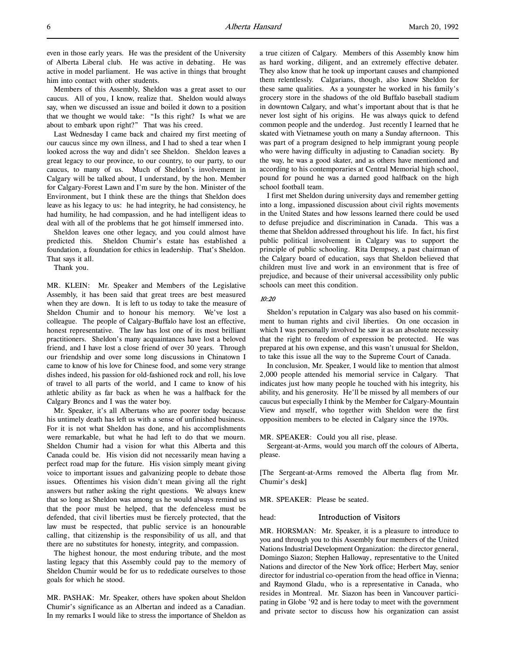Members of this Assembly, Sheldon was a great asset to our caucus. All of you, I know, realize that. Sheldon would always say, when we discussed an issue and boiled it down to a position that we thought we would take: "Is this right? Is what we are about to embark upon right?" That was his creed.

Last Wednesday I came back and chaired my first meeting of our caucus since my own illness, and I had to shed a tear when I looked across the way and didn't see Sheldon. Sheldon leaves a great legacy to our province, to our country, to our party, to our caucus, to many of us. Much of Sheldon's involvement in Calgary will be talked about, I understand, by the hon. Member for Calgary-Forest Lawn and I'm sure by the hon. Minister of the Environment, but I think these are the things that Sheldon does leave as his legacy to us: he had integrity, he had consistency, he had humility, he had compassion, and he had intelligent ideas to deal with all of the problems that he got himself immersed into.

Sheldon leaves one other legacy, and you could almost have predicted this. Sheldon Chumir's estate has established a foundation, a foundation for ethics in leadership. That's Sheldon. That says it all.

Thank you.

MR. KLEIN: Mr. Speaker and Members of the Legislative Assembly, it has been said that great trees are best measured when they are down. It is left to us today to take the measure of Sheldon Chumir and to honour his memory. We've lost a colleague. The people of Calgary-Buffalo have lost an effective, honest representative. The law has lost one of its most brilliant practitioners. Sheldon's many acquaintances have lost a beloved friend, and I have lost a close friend of over 30 years. Through our friendship and over some long discussions in Chinatown I came to know of his love for Chinese food, and some very strange dishes indeed, his passion for old-fashioned rock and roll, his love of travel to all parts of the world, and I came to know of his athletic ability as far back as when he was a halfback for the Calgary Broncs and I was the water boy.

Mr. Speaker, it's all Albertans who are poorer today because his untimely death has left us with a sense of unfinished business. For it is not what Sheldon has done, and his accomplishments were remarkable, but what he had left to do that we mourn. Sheldon Chumir had a vision for what this Alberta and this Canada could be. His vision did not necessarily mean having a perfect road map for the future. His vision simply meant giving voice to important issues and galvanizing people to debate those issues. Oftentimes his vision didn't mean giving all the right answers but rather asking the right questions. We always knew that so long as Sheldon was among us he would always remind us that the poor must be helped, that the defenceless must be defended, that civil liberties must be fiercely protected, that the law must be respected, that public service is an honourable calling, that citizenship is the responsibility of us all, and that there are no substitutes for honesty, integrity, and compassion.

The highest honour, the most enduring tribute, and the most lasting legacy that this Assembly could pay to the memory of Sheldon Chumir would be for us to rededicate ourselves to those goals for which he stood.

MR. PASHAK: Mr. Speaker, others have spoken about Sheldon Chumir's significance as an Albertan and indeed as a Canadian. In my remarks I would like to stress the importance of Sheldon as

a true citizen of Calgary. Members of this Assembly know him as hard working, diligent, and an extremely effective debater. They also know that he took up important causes and championed them relentlessly. Calgarians, though, also know Sheldon for these same qualities. As a youngster he worked in his family's grocery store in the shadows of the old Buffalo baseball stadium in downtown Calgary, and what's important about that is that he never lost sight of his origins. He was always quick to defend common people and the underdog. Just recently I learned that he skated with Vietnamese youth on many a Sunday afternoon. This was part of a program designed to help immigrant young people who were having difficulty in adjusting to Canadian society. By the way, he was a good skater, and as others have mentioned and according to his contemporaries at Central Memorial high school, pound for pound he was a darned good halfback on the high school football team.

I first met Sheldon during university days and remember getting into a long, impassioned discussion about civil rights movements in the United States and how lessons learned there could be used to defuse prejudice and discrimination in Canada. This was a theme that Sheldon addressed throughout his life. In fact, his first public political involvement in Calgary was to support the principle of public schooling. Rita Dempsey, a past chairman of the Calgary board of education, says that Sheldon believed that children must live and work in an environment that is free of prejudice, and because of their universal accessibility only public schools can meet this condition.

### 10:20

Sheldon's reputation in Calgary was also based on his commitment to human rights and civil liberties. On one occasion in which I was personally involved he saw it as an absolute necessity that the right to freedom of expression be protected. He was prepared at his own expense, and this wasn't unusual for Sheldon, to take this issue all the way to the Supreme Court of Canada.

In conclusion, Mr. Speaker, I would like to mention that almost 2,000 people attended his memorial service in Calgary. That indicates just how many people he touched with his integrity, his ability, and his generosity. He'll be missed by all members of our caucus but especially I think by the Member for Calgary-Mountain View and myself, who together with Sheldon were the first opposition members to be elected in Calgary since the 1970s.

MR. SPEAKER: Could you all rise, please.

Sergeant-at-Arms, would you march off the colours of Alberta, please.

[The Sergeant-at-Arms removed the Alberta flag from Mr. Chumir's desk]

MR. SPEAKER: Please be seated.

### head: Introduction of Visitors

MR. HORSMAN: Mr. Speaker, it is a pleasure to introduce to you and through you to this Assembly four members of the United Nations Industrial Development Organization: the director general, Domingo Siazon; Stephen Halloway, representative to the United Nations and director of the New York office; Herbert May, senior director for industrial co-operation from the head office in Vienna; and Raymond Gladu, who is a representative in Canada, who resides in Montreal. Mr. Siazon has been in Vancouver participating in Globe '92 and is here today to meet with the government and private sector to discuss how his organization can assist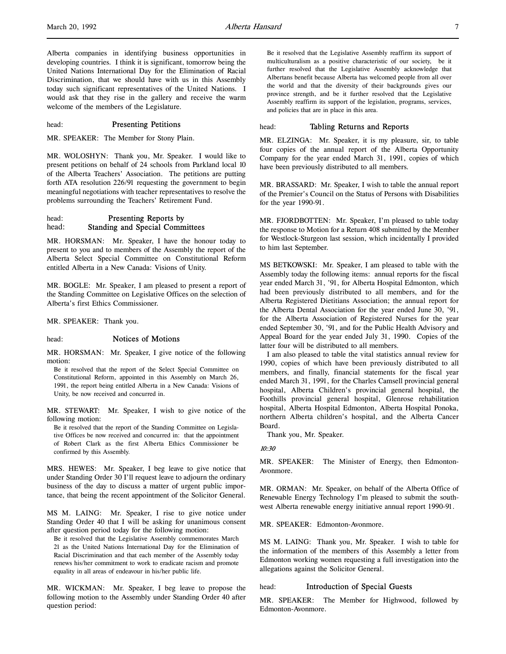Alberta companies in identifying business opportunities in developing countries. I think it is significant, tomorrow being the United Nations International Day for the Elimination of Racial Discrimination, that we should have with us in this Assembly today such significant representatives of the United Nations. I would ask that they rise in the gallery and receive the warm welcome of the members of the Legislature.

#### head: Presenting Petitions

MR. SPEAKER: The Member for Stony Plain.

MR. WOLOSHYN: Thank you, Mr. Speaker. I would like to present petitions on behalf of 24 schools from Parkland local 10 of the Alberta Teachers' Association. The petitions are putting forth ATA resolution 226/91 requesting the government to begin meaningful negotiations with teacher representatives to resolve the problems surrounding the Teachers' Retirement Fund.

# head: Presenting Reports by head: Standing and Special Committees

MR. HORSMAN: Mr. Speaker, I have the honour today to present to you and to members of the Assembly the report of the Alberta Select Special Committee on Constitutional Reform entitled Alberta in a New Canada: Visions of Unity.

MR. BOGLE: Mr. Speaker, I am pleased to present a report of the Standing Committee on Legislative Offices on the selection of Alberta's first Ethics Commissioner.

MR. SPEAKER: Thank you.

### head: Notices of Motions

MR. HORSMAN: Mr. Speaker, I give notice of the following motion:

Be it resolved that the report of the Select Special Committee on Constitutional Reform, appointed in this Assembly on March 26, 1991, the report being entitled Alberta in a New Canada: Visions of Unity, be now received and concurred in.

MR. STEWART: Mr. Speaker, I wish to give notice of the following motion:

Be it resolved that the report of the Standing Committee on Legislative Offices be now received and concurred in: that the appointment of Robert Clark as the first Alberta Ethics Commissioner be confirmed by this Assembly.

MRS. HEWES: Mr. Speaker, I beg leave to give notice that under Standing Order 30 I'll request leave to adjourn the ordinary business of the day to discuss a matter of urgent public importance, that being the recent appointment of the Solicitor General.

MS M. LAING: Mr. Speaker, I rise to give notice under Standing Order 40 that I will be asking for unanimous consent after question period today for the following motion:

Be it resolved that the Legislative Assembly commemorates March 21 as the United Nations International Day for the Elimination of Racial Discrimination and that each member of the Assembly today renews his/her commitment to work to eradicate racism and promote equality in all areas of endeavour in his/her public life.

MR. WICKMAN: Mr. Speaker, I beg leave to propose the following motion to the Assembly under Standing Order 40 after question period:

Be it resolved that the Legislative Assembly reaffirm its support of multiculturalism as a positive characteristic of our society, be it further resolved that the Legislative Assembly acknowledge that Albertans benefit because Alberta has welcomed people from all over the world and that the diversity of their backgrounds gives our province strength, and be it further resolved that the Legislative Assembly reaffirm its support of the legislation, programs, services, and policies that are in place in this area.

# head: Tabling Returns and Reports

MR. ELZINGA: Mr. Speaker, it is my pleasure, sir, to table four copies of the annual report of the Alberta Opportunity Company for the year ended March 31, 1991, copies of which have been previously distributed to all members.

MR. BRASSARD: Mr. Speaker, I wish to table the annual report of the Premier's Council on the Status of Persons with Disabilities for the year 1990-91.

MR. FJORDBOTTEN: Mr. Speaker, I'm pleased to table today the response to Motion for a Return 408 submitted by the Member for Westlock-Sturgeon last session, which incidentally I provided to him last September.

MS BETKOWSKI: Mr. Speaker, I am pleased to table with the Assembly today the following items: annual reports for the fiscal year ended March 31, '91, for Alberta Hospital Edmonton, which had been previously distributed to all members, and for the Alberta Registered Dietitians Association; the annual report for the Alberta Dental Association for the year ended June 30, '91, for the Alberta Association of Registered Nurses for the year ended September 30, '91, and for the Public Health Advisory and Appeal Board for the year ended July 31, 1990. Copies of the latter four will be distributed to all members.

I am also pleased to table the vital statistics annual review for 1990, copies of which have been previously distributed to all members, and finally, financial statements for the fiscal year ended March 31, 1991, for the Charles Camsell provincial general hospital, Alberta Children's provincial general hospital, the Foothills provincial general hospital, Glenrose rehabilitation hospital, Alberta Hospital Edmonton, Alberta Hospital Ponoka, northern Alberta children's hospital, and the Alberta Cancer Board.

Thank you, Mr. Speaker.

#### 10:30

MR. SPEAKER: The Minister of Energy, then Edmonton-Avonmore.

MR. ORMAN: Mr. Speaker, on behalf of the Alberta Office of Renewable Energy Technology I'm pleased to submit the southwest Alberta renewable energy initiative annual report 1990-91.

MR. SPEAKER: Edmonton-Avonmore.

MS M. LAING: Thank you, Mr. Speaker. I wish to table for the information of the members of this Assembly a letter from Edmonton working women requesting a full investigation into the allegations against the Solicitor General.

### head: Introduction of Special Guests

MR. SPEAKER: The Member for Highwood, followed by Edmonton-Avonmore.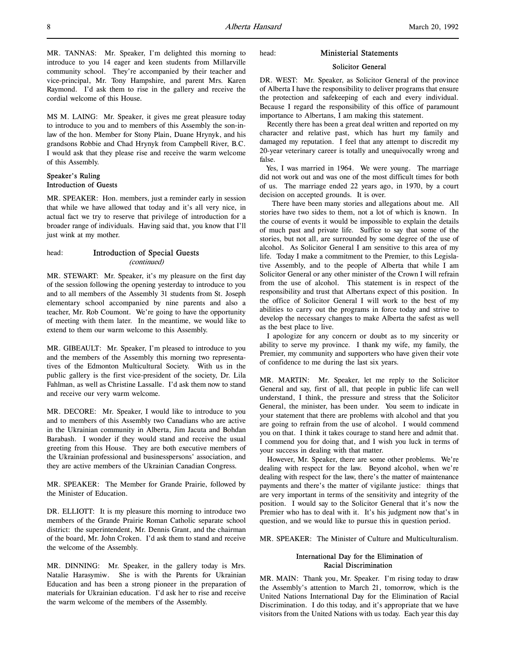MR. TANNAS: Mr. Speaker, I'm delighted this morning to introduce to you 14 eager and keen students from Millarville community school. They're accompanied by their teacher and vice-principal, Mr. Tony Hampshire, and parent Mrs. Karen Raymond. I'd ask them to rise in the gallery and receive the cordial welcome of this House.

MS M. LAING: Mr. Speaker, it gives me great pleasure today to introduce to you and to members of this Assembly the son-inlaw of the hon. Member for Stony Plain, Duane Hrynyk, and his grandsons Robbie and Chad Hrynyk from Campbell River, B.C. I would ask that they please rise and receive the warm welcome of this Assembly.

# Speaker's Ruling Introduction of Guests

MR. SPEAKER: Hon. members, just a reminder early in session that while we have allowed that today and it's all very nice, in actual fact we try to reserve that privilege of introduction for a broader range of individuals. Having said that, you know that I'll just wink at my mother.

### head: Introduction of Special Guests (continued)

MR. STEWART: Mr. Speaker, it's my pleasure on the first day of the session following the opening yesterday to introduce to you and to all members of the Assembly 31 students from St. Joseph elementary school accompanied by nine parents and also a teacher, Mr. Rob Coumont. We're going to have the opportunity of meeting with them later. In the meantime, we would like to extend to them our warm welcome to this Assembly.

MR. GIBEAULT: Mr. Speaker, I'm pleased to introduce to you and the members of the Assembly this morning two representatives of the Edmonton Multicultural Society. With us in the public gallery is the first vice-president of the society, Dr. Lila Fahlman, as well as Christine Lassalle. I'd ask them now to stand and receive our very warm welcome.

MR. DECORE: Mr. Speaker, I would like to introduce to you and to members of this Assembly two Canadians who are active in the Ukrainian community in Alberta, Jim Jacuta and Bohdan Barabash. I wonder if they would stand and receive the usual greeting from this House. They are both executive members of the Ukrainian professional and businesspersons' association, and they are active members of the Ukrainian Canadian Congress.

MR. SPEAKER: The Member for Grande Prairie, followed by the Minister of Education.

DR. ELLIOTT: It is my pleasure this morning to introduce two members of the Grande Prairie Roman Catholic separate school district: the superintendent, Mr. Dennis Grant, and the chairman of the board, Mr. John Croken. I'd ask them to stand and receive the welcome of the Assembly.

MR. DINNING: Mr. Speaker, in the gallery today is Mrs. Natalie Harasymiw. She is with the Parents for Ukrainian Education and has been a strong pioneer in the preparation of materials for Ukrainian education. I'd ask her to rise and receive the warm welcome of the members of the Assembly.

### head: Ministerial Statements

### Solicitor General

DR. WEST: Mr. Speaker, as Solicitor General of the province of Alberta I have the responsibility to deliver programs that ensure the protection and safekeeping of each and every individual. Because I regard the responsibility of this office of paramount importance to Albertans, I am making this statement.

Recently there has been a great deal written and reported on my character and relative past, which has hurt my family and damaged my reputation. I feel that any attempt to discredit my 20-year veterinary career is totally and unequivocally wrong and false.

 Yes, I was married in 1964. We were young. The marriage did not work out and was one of the most difficult times for both of us. The marriage ended 22 years ago, in 1970, by a court decision on accepted grounds. It is over.

 There have been many stories and allegations about me. All stories have two sides to them, not a lot of which is known. In the course of events it would be impossible to explain the details of much past and private life. Suffice to say that some of the stories, but not all, are surrounded by some degree of the use of alcohol. As Solicitor General I am sensitive to this area of my life. Today I make a commitment to the Premier, to this Legislative Assembly, and to the people of Alberta that while I am Solicitor General or any other minister of the Crown I will refrain from the use of alcohol. This statement is in respect of the responsibility and trust that Albertans expect of this position. In the office of Solicitor General I will work to the best of my abilities to carry out the programs in force today and strive to develop the necessary changes to make Alberta the safest as well as the best place to live.

I apologize for any concern or doubt as to my sincerity or ability to serve my province. I thank my wife, my family, the Premier, my community and supporters who have given their vote of confidence to me during the last six years.

MR. MARTIN: Mr. Speaker, let me reply to the Solicitor General and say, first of all, that people in public life can well understand, I think, the pressure and stress that the Solicitor General, the minister, has been under. You seem to indicate in your statement that there are problems with alcohol and that you are going to refrain from the use of alcohol. I would commend you on that. I think it takes courage to stand here and admit that. I commend you for doing that, and I wish you luck in terms of your success in dealing with that matter.

However, Mr. Speaker, there are some other problems. We're dealing with respect for the law. Beyond alcohol, when we're dealing with respect for the law, there's the matter of maintenance payments and there's the matter of vigilante justice: things that are very important in terms of the sensitivity and integrity of the position. I would say to the Solicitor General that it's now the Premier who has to deal with it. It's his judgment now that's in question, and we would like to pursue this in question period.

MR. SPEAKER: The Minister of Culture and Multiculturalism.

### International Day for the Elimination of Racial Discrimination

MR. MAIN: Thank you, Mr. Speaker. I'm rising today to draw the Assembly's attention to March 21, tomorrow, which is the United Nations International Day for the Elimination of Racial Discrimination. I do this today, and it's appropriate that we have visitors from the United Nations with us today. Each year this day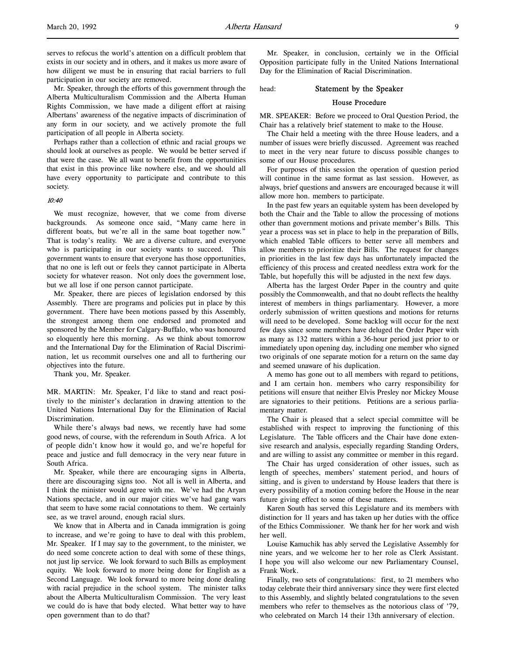l,

serves to refocus the world's attention on a difficult problem that exists in our society and in others, and it makes us more aware of how diligent we must be in ensuring that racial barriers to full participation in our society are removed.

Mr. Speaker, through the efforts of this government through the Alberta Multiculturalism Commission and the Alberta Human Rights Commission, we have made a diligent effort at raising Albertans' awareness of the negative impacts of discrimination of any form in our society, and we actively promote the full participation of all people in Alberta society.

Perhaps rather than a collection of ethnic and racial groups we should look at ourselves as people. We would be better served if that were the case. We all want to benefit from the opportunities that exist in this province like nowhere else, and we should all have every opportunity to participate and contribute to this society.

### 10:40

We must recognize, however, that we come from diverse backgrounds. As someone once said, "Many came here in different boats, but we're all in the same boat together now." That is today's reality. We are a diverse culture, and everyone who is participating in our society wants to succeed. This government wants to ensure that everyone has those opportunities, that no one is left out or feels they cannot participate in Alberta society for whatever reason. Not only does the government lose, but we all lose if one person cannot participate.

Mr. Speaker, there are pieces of legislation endorsed by this Assembly. There are programs and policies put in place by this government. There have been motions passed by this Assembly, the strongest among them one endorsed and promoted and sponsored by the Member for Calgary-Buffalo, who was honoured so eloquently here this morning. As we think about tomorrow and the International Day for the Elimination of Racial Discrimination, let us recommit ourselves one and all to furthering our objectives into the future.

Thank you, Mr. Speaker.

MR. MARTIN: Mr. Speaker, I'd like to stand and react positively to the minister's declaration in drawing attention to the United Nations International Day for the Elimination of Racial Discrimination.

While there's always bad news, we recently have had some good news, of course, with the referendum in South Africa. A lot of people didn't know how it would go, and we're hopeful for peace and justice and full democracy in the very near future in South Africa.

Mr. Speaker, while there are encouraging signs in Alberta, there are discouraging signs too. Not all is well in Alberta, and I think the minister would agree with me. We've had the Aryan Nations spectacle, and in our major cities we've had gang wars that seem to have some racial connotations to them. We certainly see, as we travel around, enough racial slurs.

We know that in Alberta and in Canada immigration is going to increase, and we're going to have to deal with this problem, Mr. Speaker. If I may say to the government, to the minister, we do need some concrete action to deal with some of these things, not just lip service. We look forward to such Bills as employment equity. We look forward to more being done for English as a Second Language. We look forward to more being done dealing with racial prejudice in the school system. The minister talks about the Alberta Multiculturalism Commission. The very least we could do is have that body elected. What better way to have open government than to do that?

Mr. Speaker, in conclusion, certainly we in the Official Opposition participate fully in the United Nations International Day for the Elimination of Racial Discrimination.

#### head: **Statement by the Speaker**

### House Procedure

MR. SPEAKER: Before we proceed to Oral Question Period, the Chair has a relatively brief statement to make to the House.

The Chair held a meeting with the three House leaders, and a number of issues were briefly discussed. Agreement was reached to meet in the very near future to discuss possible changes to some of our House procedures.

For purposes of this session the operation of question period will continue in the same format as last session. However, as always, brief questions and answers are encouraged because it will allow more hon. members to participate.

In the past few years an equitable system has been developed by both the Chair and the Table to allow the processing of motions other than government motions and private member's Bills. This year a process was set in place to help in the preparation of Bills, which enabled Table officers to better serve all members and allow members to prioritize their Bills. The request for changes in priorities in the last few days has unfortunately impacted the efficiency of this process and created needless extra work for the Table, but hopefully this will be adjusted in the next few days.

Alberta has the largest Order Paper in the country and quite possibly the Commonwealth, and that no doubt reflects the healthy interest of members in things parliamentary. However, a more orderly submission of written questions and motions for returns will need to be developed. Some backlog will occur for the next few days since some members have deluged the Order Paper with as many as 132 matters within a 36-hour period just prior to or immediately upon opening day, including one member who signed two originals of one separate motion for a return on the same day and seemed unaware of his duplication.

A memo has gone out to all members with regard to petitions, and I am certain hon. members who carry responsibility for petitions will ensure that neither Elvis Presley nor Mickey Mouse are signatories to their petitions. Petitions are a serious parliamentary matter.

The Chair is pleased that a select special committee will be established with respect to improving the functioning of this Legislature. The Table officers and the Chair have done extensive research and analysis, especially regarding Standing Orders, and are willing to assist any committee or member in this regard.

The Chair has urged consideration of other issues, such as length of speeches, members' statement period, and hours of sitting, and is given to understand by House leaders that there is every possibility of a motion coming before the House in the near future giving effect to some of these matters.

Karen South has served this Legislature and its members with distinction for 11 years and has taken up her duties with the office of the Ethics Commissioner. We thank her for her work and wish her well.

Louise Kamuchik has ably served the Legislative Assembly for nine years, and we welcome her to her role as Clerk Assistant. I hope you will also welcome our new Parliamentary Counsel, Frank Work.

Finally, two sets of congratulations: first, to 21 members who today celebrate their third anniversary since they were first elected to this Assembly, and slightly belated congratulations to the seven members who refer to themselves as the notorious class of '79, who celebrated on March 14 their 13th anniversary of election.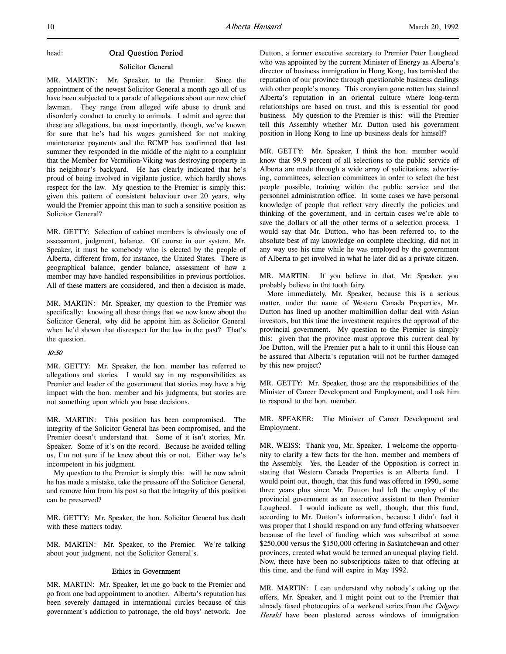### head: Oral Question Period

### Solicitor General

MR. MARTIN: Mr. Speaker, to the Premier. Since the appointment of the newest Solicitor General a month ago all of us have been subjected to a parade of allegations about our new chief lawman. They range from alleged wife abuse to drunk and disorderly conduct to cruelty to animals. I admit and agree that these are allegations, but most importantly, though, we've known for sure that he's had his wages garnisheed for not making maintenance payments and the RCMP has confirmed that last summer they responded in the middle of the night to a complaint that the Member for Vermilion-Viking was destroying property in his neighbour's backyard. He has clearly indicated that he's proud of being involved in vigilante justice, which hardly shows respect for the law. My question to the Premier is simply this: given this pattern of consistent behaviour over 20 years, why would the Premier appoint this man to such a sensitive position as Solicitor General?

MR. GETTY: Selection of cabinet members is obviously one of assessment, judgment, balance. Of course in our system, Mr. Speaker, it must be somebody who is elected by the people of Alberta, different from, for instance, the United States. There is geographical balance, gender balance, assessment of how a member may have handled responsibilities in previous portfolios. All of these matters are considered, and then a decision is made.

MR. MARTIN: Mr. Speaker, my question to the Premier was specifically: knowing all these things that we now know about the Solicitor General, why did he appoint him as Solicitor General when he'd shown that disrespect for the law in the past? That's the question.

# 10:50

MR. GETTY: Mr. Speaker, the hon. member has referred to allegations and stories. I would say in my responsibilities as Premier and leader of the government that stories may have a big impact with the hon. member and his judgments, but stories are not something upon which you base decisions.

MR. MARTIN: This position has been compromised. The integrity of the Solicitor General has been compromised, and the Premier doesn't understand that. Some of it isn't stories, Mr. Speaker. Some of it's on the record. Because he avoided telling us, I'm not sure if he knew about this or not. Either way he's incompetent in his judgment.

My question to the Premier is simply this: will he now admit he has made a mistake, take the pressure off the Solicitor General, and remove him from his post so that the integrity of this position can be preserved?

MR. GETTY: Mr. Speaker, the hon. Solicitor General has dealt with these matters today.

MR. MARTIN: Mr. Speaker, to the Premier. We're talking about your judgment, not the Solicitor General's.

### Ethics in Government

MR. MARTIN: Mr. Speaker, let me go back to the Premier and go from one bad appointment to another. Alberta's reputation has been severely damaged in international circles because of this government's addiction to patronage, the old boys' network. Joe

Dutton, a former executive secretary to Premier Peter Lougheed who was appointed by the current Minister of Energy as Alberta's director of business immigration in Hong Kong, has tarnished the reputation of our province through questionable business dealings with other people's money. This cronyism gone rotten has stained Alberta's reputation in an oriental culture where long-term relationships are based on trust, and this is essential for good business. My question to the Premier is this: will the Premier tell this Assembly whether Mr. Dutton used his government position in Hong Kong to line up business deals for himself?

MR. GETTY: Mr. Speaker, I think the hon. member would know that 99.9 percent of all selections to the public service of Alberta are made through a wide array of solicitations, advertising, committees, selection committees in order to select the best people possible, training within the public service and the personnel administration office. In some cases we have personal knowledge of people that reflect very directly the policies and thinking of the government, and in certain cases we're able to save the dollars of all the other terms of a selection process. I would say that Mr. Dutton, who has been referred to, to the absolute best of my knowledge on complete checking, did not in any way use his time while he was employed by the government of Alberta to get involved in what he later did as a private citizen.

MR. MARTIN: If you believe in that, Mr. Speaker, you probably believe in the tooth fairy.

More immediately, Mr. Speaker, because this is a serious matter, under the name of Western Canada Properties, Mr. Dutton has lined up another multimillion dollar deal with Asian investors, but this time the investment requires the approval of the provincial government. My question to the Premier is simply this: given that the province must approve this current deal by Joe Dutton, will the Premier put a halt to it until this House can be assured that Alberta's reputation will not be further damaged by this new project?

MR. GETTY: Mr. Speaker, those are the responsibilities of the Minister of Career Development and Employment, and I ask him to respond to the hon. member.

MR. SPEAKER: The Minister of Career Development and Employment.

MR. WEISS: Thank you, Mr. Speaker. I welcome the opportunity to clarify a few facts for the hon. member and members of the Assembly. Yes, the Leader of the Opposition is correct in stating that Western Canada Properties is an Alberta fund. I would point out, though, that this fund was offered in 1990, some three years plus since Mr. Dutton had left the employ of the provincial government as an executive assistant to then Premier Lougheed. I would indicate as well, though, that this fund, according to Mr. Dutton's information, because I didn't feel it was proper that I should respond on any fund offering whatsoever because of the level of funding which was subscribed at some \$250,000 versus the \$150,000 offering in Saskatchewan and other provinces, created what would be termed an unequal playing field. Now, there have been no subscriptions taken to that offering at this time, and the fund will expire in May 1992.

MR. MARTIN: I can understand why nobody's taking up the offers, Mr. Speaker, and I might point out to the Premier that already faxed photocopies of a weekend series from the Calgary Herald have been plastered across windows of immigration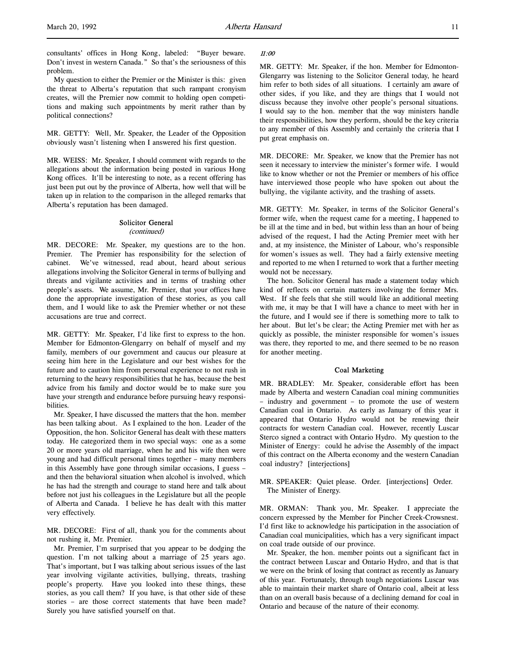consultants' offices in Hong Kong, labeled: "Buyer beware. Don't invest in western Canada." So that's the seriousness of this problem.

My question to either the Premier or the Minister is this: given the threat to Alberta's reputation that such rampant cronyism creates, will the Premier now commit to holding open competitions and making such appointments by merit rather than by political connections?

MR. GETTY: Well, Mr. Speaker, the Leader of the Opposition obviously wasn't listening when I answered his first question.

MR. WEISS: Mr. Speaker, I should comment with regards to the allegations about the information being posted in various Hong Kong offices. It'll be interesting to note, as a recent offering has just been put out by the province of Alberta, how well that will be taken up in relation to the comparison in the alleged remarks that Alberta's reputation has been damaged.

#### Solicitor General

#### (continued)

MR. DECORE: Mr. Speaker, my questions are to the hon. Premier. The Premier has responsibility for the selection of cabinet. We've witnessed, read about, heard about serious allegations involving the Solicitor General in terms of bullying and threats and vigilante activities and in terms of trashing other people's assets. We assume, Mr. Premier, that your offices have done the appropriate investigation of these stories, as you call them, and I would like to ask the Premier whether or not these accusations are true and correct.

MR. GETTY: Mr. Speaker, I'd like first to express to the hon. Member for Edmonton-Glengarry on behalf of myself and my family, members of our government and caucus our pleasure at seeing him here in the Legislature and our best wishes for the future and to caution him from personal experience to not rush in returning to the heavy responsibilities that he has, because the best advice from his family and doctor would be to make sure you have your strength and endurance before pursuing heavy responsibilities.

Mr. Speaker, I have discussed the matters that the hon. member has been talking about. As I explained to the hon. Leader of the Opposition, the hon. Solicitor General has dealt with these matters today. He categorized them in two special ways: one as a some 20 or more years old marriage, when he and his wife then were young and had difficult personal times together – many members in this Assembly have gone through similar occasions, I guess – and then the behavioral situation when alcohol is involved, which he has had the strength and courage to stand here and talk about before not just his colleagues in the Legislature but all the people of Alberta and Canada. I believe he has dealt with this matter very effectively.

MR. DECORE: First of all, thank you for the comments about not rushing it, Mr. Premier.

Mr. Premier, I'm surprised that you appear to be dodging the question. I'm not talking about a marriage of 25 years ago. That's important, but I was talking about serious issues of the last year involving vigilante activities, bullying, threats, trashing people's property. Have you looked into these things, these stories, as you call them? If you have, is that other side of these stories – are those correct statements that have been made? Surely you have satisfied yourself on that.

# 11:00

MR. GETTY: Mr. Speaker, if the hon. Member for Edmonton-Glengarry was listening to the Solicitor General today, he heard him refer to both sides of all situations. I certainly am aware of other sides, if you like, and they are things that I would not discuss because they involve other people's personal situations. I would say to the hon. member that the way ministers handle their responsibilities, how they perform, should be the key criteria to any member of this Assembly and certainly the criteria that I put great emphasis on.

MR. DECORE: Mr. Speaker, we know that the Premier has not seen it necessary to interview the minister's former wife. I would like to know whether or not the Premier or members of his office have interviewed those people who have spoken out about the bullying, the vigilante activity, and the trashing of assets.

MR. GETTY: Mr. Speaker, in terms of the Solicitor General's former wife, when the request came for a meeting, I happened to be ill at the time and in bed, but within less than an hour of being advised of the request, I had the Acting Premier meet with her and, at my insistence, the Minister of Labour, who's responsible for women's issues as well. They had a fairly extensive meeting and reported to me when I returned to work that a further meeting would not be necessary.

The hon. Solicitor General has made a statement today which kind of reflects on certain matters involving the former Mrs. West. If she feels that she still would like an additional meeting with me, it may be that I will have a chance to meet with her in the future, and I would see if there is something more to talk to her about. But let's be clear; the Acting Premier met with her as quickly as possible, the minister responsible for women's issues was there, they reported to me, and there seemed to be no reason for another meeting.

#### Coal Marketing

MR. BRADLEY: Mr. Speaker, considerable effort has been made by Alberta and western Canadian coal mining communities – industry and government – to promote the use of western Canadian coal in Ontario. As early as January of this year it appeared that Ontario Hydro would not be renewing their contracts for western Canadian coal. However, recently Luscar Sterco signed a contract with Ontario Hydro. My question to the Minister of Energy: could he advise the Assembly of the impact of this contract on the Alberta economy and the western Canadian coal industry? [interjections]

MR. SPEAKER: Quiet please. Order. [interjections] Order. The Minister of Energy.

MR. ORMAN: Thank you, Mr. Speaker. I appreciate the concern expressed by the Member for Pincher Creek-Crowsnest. I'd first like to acknowledge his participation in the association of Canadian coal municipalities, which has a very significant impact on coal trade outside of our province.

Mr. Speaker, the hon. member points out a significant fact in the contract between Luscar and Ontario Hydro, and that is that we were on the brink of losing that contract as recently as January of this year. Fortunately, through tough negotiations Luscar was able to maintain their market share of Ontario coal, albeit at less than on an overall basis because of a declining demand for coal in Ontario and because of the nature of their economy.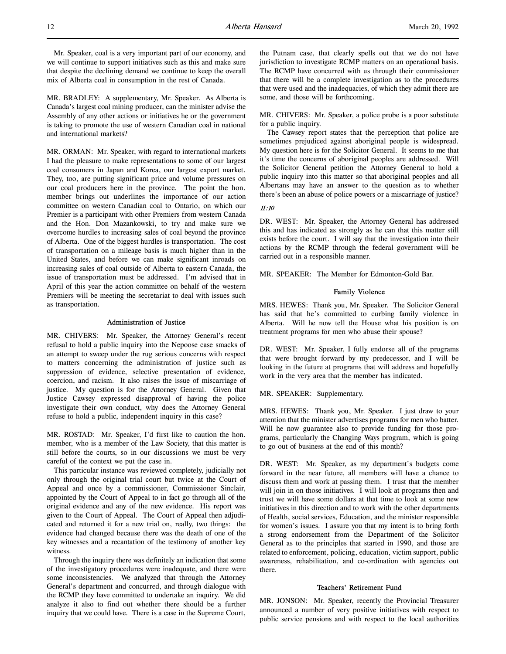Mr. Speaker, coal is a very important part of our economy, and we will continue to support initiatives such as this and make sure that despite the declining demand we continue to keep the overall mix of Alberta coal in consumption in the rest of Canada.

MR. BRADLEY: A supplementary, Mr. Speaker. As Alberta is Canada's largest coal mining producer, can the minister advise the Assembly of any other actions or initiatives he or the government is taking to promote the use of western Canadian coal in national and international markets?

MR. ORMAN: Mr. Speaker, with regard to international markets I had the pleasure to make representations to some of our largest coal consumers in Japan and Korea, our largest export market. They, too, are putting significant price and volume pressures on our coal producers here in the province. The point the hon. member brings out underlines the importance of our action committee on western Canadian coal to Ontario, on which our Premier is a participant with other Premiers from western Canada and the Hon. Don Mazankowski, to try and make sure we overcome hurdles to increasing sales of coal beyond the province of Alberta. One of the biggest hurdles is transportation. The cost of transportation on a mileage basis is much higher than in the United States, and before we can make significant inroads on increasing sales of coal outside of Alberta to eastern Canada, the issue of transportation must be addressed. I'm advised that in April of this year the action committee on behalf of the western Premiers will be meeting the secretariat to deal with issues such as transportation.

### Administration of Justice

MR. CHIVERS: Mr. Speaker, the Attorney General's recent refusal to hold a public inquiry into the Nepoose case smacks of an attempt to sweep under the rug serious concerns with respect to matters concerning the administration of justice such as suppression of evidence, selective presentation of evidence, coercion, and racism. It also raises the issue of miscarriage of justice. My question is for the Attorney General. Given that Justice Cawsey expressed disapproval of having the police investigate their own conduct, why does the Attorney General refuse to hold a public, independent inquiry in this case?

MR. ROSTAD: Mr. Speaker, I'd first like to caution the hon. member, who is a member of the Law Society, that this matter is still before the courts, so in our discussions we must be very careful of the context we put the case in.

This particular instance was reviewed completely, judicially not only through the original trial court but twice at the Court of Appeal and once by a commissioner, Commissioner Sinclair, appointed by the Court of Appeal to in fact go through all of the original evidence and any of the new evidence. His report was given to the Court of Appeal. The Court of Appeal then adjudicated and returned it for a new trial on, really, two things: the evidence had changed because there was the death of one of the key witnesses and a recantation of the testimony of another key witness.

Through the inquiry there was definitely an indication that some of the investigatory procedures were inadequate, and there were some inconsistencies. We analyzed that through the Attorney General's department and concurred, and through dialogue with the RCMP they have committed to undertake an inquiry. We did analyze it also to find out whether there should be a further inquiry that we could have. There is a case in the Supreme Court,

the Putnam case, that clearly spells out that we do not have jurisdiction to investigate RCMP matters on an operational basis. The RCMP have concurred with us through their commissioner that there will be a complete investigation as to the procedures that were used and the inadequacies, of which they admit there are some, and those will be forthcoming.

MR. CHIVERS: Mr. Speaker, a police probe is a poor substitute for a public inquiry.

The Cawsey report states that the perception that police are sometimes prejudiced against aboriginal people is widespread. My question here is for the Solicitor General. It seems to me that it's time the concerns of aboriginal peoples are addressed. Will the Solicitor General petition the Attorney General to hold a public inquiry into this matter so that aboriginal peoples and all Albertans may have an answer to the question as to whether there's been an abuse of police powers or a miscarriage of justice?

#### 11:10

DR. WEST: Mr. Speaker, the Attorney General has addressed this and has indicated as strongly as he can that this matter still exists before the court. I will say that the investigation into their actions by the RCMP through the federal government will be carried out in a responsible manner.

MR. SPEAKER: The Member for Edmonton-Gold Bar.

#### Family Violence

MRS. HEWES: Thank you, Mr. Speaker. The Solicitor General has said that he's committed to curbing family violence in Alberta. Will he now tell the House what his position is on treatment programs for men who abuse their spouse?

DR. WEST: Mr. Speaker, I fully endorse all of the programs that were brought forward by my predecessor, and I will be looking in the future at programs that will address and hopefully work in the very area that the member has indicated.

#### MR. SPEAKER: Supplementary.

MRS. HEWES: Thank you, Mr. Speaker. I just draw to your attention that the minister advertises programs for men who batter. Will he now guarantee also to provide funding for those programs, particularly the Changing Ways program, which is going to go out of business at the end of this month?

DR. WEST: Mr. Speaker, as my department's budgets come forward in the near future, all members will have a chance to discuss them and work at passing them. I trust that the member will join in on those initiatives. I will look at programs then and trust we will have some dollars at that time to look at some new initiatives in this direction and to work with the other departments of Health, social services, Education, and the minister responsible for women's issues. I assure you that my intent is to bring forth a strong endorsement from the Department of the Solicitor General as to the principles that started in 1990, and those are related to enforcement, policing, education, victim support, public awareness, rehabilitation, and co-ordination with agencies out there.

#### Teachers' Retirement Fund

MR. JONSON: Mr. Speaker, recently the Provincial Treasurer announced a number of very positive initiatives with respect to public service pensions and with respect to the local authorities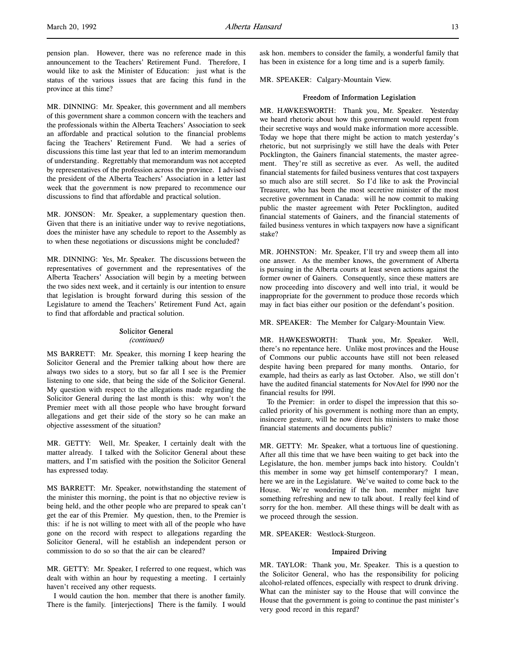MR. DINNING: Mr. Speaker, this government and all members of this government share a common concern with the teachers and the professionals within the Alberta Teachers' Association to seek an affordable and practical solution to the financial problems facing the Teachers' Retirement Fund. We had a series of discussions this time last year that led to an interim memorandum of understanding. Regrettably that memorandum was not accepted by representatives of the profession across the province. I advised the president of the Alberta Teachers' Association in a letter last week that the government is now prepared to recommence our discussions to find that affordable and practical solution.

MR. JONSON: Mr. Speaker, a supplementary question then. Given that there is an initiative under way to revive negotiations, does the minister have any schedule to report to the Assembly as to when these negotiations or discussions might be concluded?

MR. DINNING: Yes, Mr. Speaker. The discussions between the representatives of government and the representatives of the Alberta Teachers' Association will begin by a meeting between the two sides next week, and it certainly is our intention to ensure that legislation is brought forward during this session of the Legislature to amend the Teachers' Retirement Fund Act, again to find that affordable and practical solution.

# Solicitor General

(continued)

MS BARRETT: Mr. Speaker, this morning I keep hearing the Solicitor General and the Premier talking about how there are always two sides to a story, but so far all I see is the Premier listening to one side, that being the side of the Solicitor General. My question with respect to the allegations made regarding the Solicitor General during the last month is this: why won't the Premier meet with all those people who have brought forward allegations and get their side of the story so he can make an objective assessment of the situation?

MR. GETTY: Well, Mr. Speaker, I certainly dealt with the matter already. I talked with the Solicitor General about these matters, and I'm satisfied with the position the Solicitor General has expressed today.

MS BARRETT: Mr. Speaker, notwithstanding the statement of the minister this morning, the point is that no objective review is being held, and the other people who are prepared to speak can't get the ear of this Premier. My question, then, to the Premier is this: if he is not willing to meet with all of the people who have gone on the record with respect to allegations regarding the Solicitor General, will he establish an independent person or commission to do so so that the air can be cleared?

MR. GETTY: Mr. Speaker, I referred to one request, which was dealt with within an hour by requesting a meeting. I certainly haven't received any other requests.

I would caution the hon. member that there is another family. There is the family. [interjections] There is the family. I would ask hon. members to consider the family, a wonderful family that has been in existence for a long time and is a superb family.

MR. SPEAKER: Calgary-Mountain View.

### Freedom of Information Legislation

MR. HAWKESWORTH: Thank you, Mr. Speaker. Yesterday we heard rhetoric about how this government would repent from their secretive ways and would make information more accessible. Today we hope that there might be action to match yesterday's rhetoric, but not surprisingly we still have the deals with Peter Pocklington, the Gainers financial statements, the master agreement. They're still as secretive as ever. As well, the audited financial statements for failed business ventures that cost taxpayers so much also are still secret. So I'd like to ask the Provincial Treasurer, who has been the most secretive minister of the most secretive government in Canada: will he now commit to making public the master agreement with Peter Pocklington, audited financial statements of Gainers, and the financial statements of failed business ventures in which taxpayers now have a significant stake?

MR. JOHNSTON: Mr. Speaker, I'll try and sweep them all into one answer. As the member knows, the government of Alberta is pursuing in the Alberta courts at least seven actions against the former owner of Gainers. Consequently, since these matters are now proceeding into discovery and well into trial, it would be inappropriate for the government to produce those records which may in fact bias either our position or the defendant's position.

MR. SPEAKER: The Member for Calgary-Mountain View.

MR. HAWKESWORTH: Thank you, Mr. Speaker. Well, there's no repentance here. Unlike most provinces and the House of Commons our public accounts have still not been released despite having been prepared for many months. Ontario, for example, had theirs as early as last October. Also, we still don't have the audited financial statements for NovAtel for l990 nor the financial results for l99l.

To the Premier: in order to dispel the impression that this socalled priority of his government is nothing more than an empty, insincere gesture, will he now direct his ministers to make those financial statements and documents public?

MR. GETTY: Mr. Speaker, what a tortuous line of questioning. After all this time that we have been waiting to get back into the Legislature, the hon. member jumps back into history. Couldn't this member in some way get himself contemporary? I mean, here we are in the Legislature. We've waited to come back to the House. We're wondering if the hon. member might have something refreshing and new to talk about. I really feel kind of sorry for the hon. member. All these things will be dealt with as we proceed through the session.

### MR. SPEAKER: Westlock-Sturgeon.

#### Impaired Driving

MR. TAYLOR: Thank you, Mr. Speaker. This is a question to the Solicitor General, who has the responsibility for policing alcohol-related offences, especially with respect to drunk driving. What can the minister say to the House that will convince the House that the government is going to continue the past minister's very good record in this regard?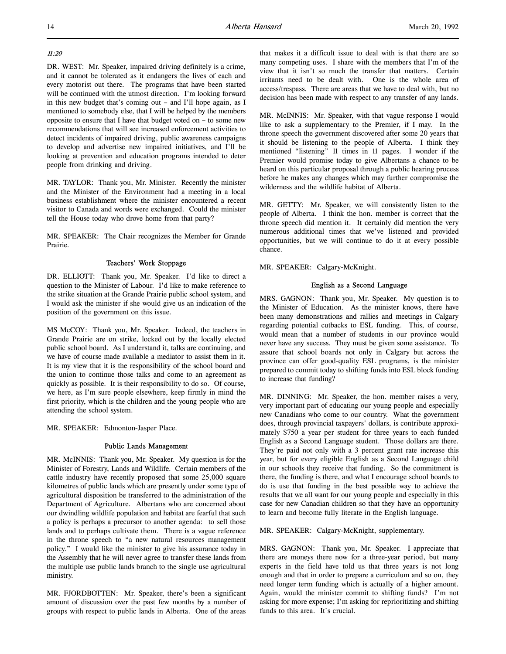## 11:20

DR. WEST: Mr. Speaker, impaired driving definitely is a crime, and it cannot be tolerated as it endangers the lives of each and every motorist out there. The programs that have been started will be continued with the utmost direction. I'm looking forward in this new budget that's coming out – and I'll hope again, as I mentioned to somebody else, that I will be helped by the members opposite to ensure that I have that budget voted on – to some new recommendations that will see increased enforcement activities to detect incidents of impaired driving, public awareness campaigns to develop and advertise new impaired initiatives, and I'll be looking at prevention and education programs intended to deter people from drinking and driving.

MR. TAYLOR: Thank you, Mr. Minister. Recently the minister and the Minister of the Environment had a meeting in a local business establishment where the minister encountered a recent visitor to Canada and words were exchanged. Could the minister tell the House today who drove home from that party?

MR. SPEAKER: The Chair recognizes the Member for Grande Prairie.

### Teachers' Work Stoppage

DR. ELLIOTT: Thank you, Mr. Speaker. I'd like to direct a question to the Minister of Labour. I'd like to make reference to the strike situation at the Grande Prairie public school system, and I would ask the minister if she would give us an indication of the position of the government on this issue.

MS McCOY: Thank you, Mr. Speaker. Indeed, the teachers in Grande Prairie are on strike, locked out by the locally elected public school board. As I understand it, talks are continuing, and we have of course made available a mediator to assist them in it. It is my view that it is the responsibility of the school board and the union to continue those talks and come to an agreement as quickly as possible. It is their responsibility to do so. Of course, we here, as I'm sure people elsewhere, keep firmly in mind the first priority, which is the children and the young people who are attending the school system.

MR. SPEAKER: Edmonton-Jasper Place.

### Public Lands Management

MR. McINNIS: Thank you, Mr. Speaker. My question is for the Minister of Forestry, Lands and Wildlife. Certain members of the cattle industry have recently proposed that some 25,000 square kilometres of public lands which are presently under some type of agricultural disposition be transferred to the administration of the Department of Agriculture. Albertans who are concerned about our dwindling wildlife population and habitat are fearful that such a policy is perhaps a precursor to another agenda: to sell those lands and to perhaps cultivate them. There is a vague reference in the throne speech to "a new natural resources management policy." I would like the minister to give his assurance today in the Assembly that he will never agree to transfer these lands from the multiple use public lands branch to the single use agricultural ministry.

MR. FJORDBOTTEN: Mr. Speaker, there's been a significant amount of discussion over the past few months by a number of groups with respect to public lands in Alberta. One of the areas that makes it a difficult issue to deal with is that there are so many competing uses. I share with the members that I'm of the view that it isn't so much the transfer that matters. Certain irritants need to be dealt with. One is the whole area of access/trespass. There are areas that we have to deal with, but no decision has been made with respect to any transfer of any lands.

MR. McINNIS: Mr. Speaker, with that vague response I would like to ask a supplementary to the Premier, if I may. In the throne speech the government discovered after some 20 years that it should be listening to the people of Alberta. I think they mentioned "listening" 11 times in 11 pages. I wonder if the Premier would promise today to give Albertans a chance to be heard on this particular proposal through a public hearing process before he makes any changes which may further compromise the wilderness and the wildlife habitat of Alberta.

MR. GETTY: Mr. Speaker, we will consistently listen to the people of Alberta. I think the hon. member is correct that the throne speech did mention it. It certainly did mention the very numerous additional times that we've listened and provided opportunities, but we will continue to do it at every possible chance.

MR. SPEAKER: Calgary-McKnight.

### English as a Second Language

MRS. GAGNON: Thank you, Mr. Speaker. My question is to the Minister of Education. As the minister knows, there have been many demonstrations and rallies and meetings in Calgary regarding potential cutbacks to ESL funding. This, of course, would mean that a number of students in our province would never have any success. They must be given some assistance. To assure that school boards not only in Calgary but across the province can offer good-quality ESL programs, is the minister prepared to commit today to shifting funds into ESL block funding to increase that funding?

MR. DINNING: Mr. Speaker, the hon. member raises a very, very important part of educating our young people and especially new Canadians who come to our country. What the government does, through provincial taxpayers' dollars, is contribute approximately \$750 a year per student for three years to each funded English as a Second Language student. Those dollars are there. They're paid not only with a 3 percent grant rate increase this year, but for every eligible English as a Second Language child in our schools they receive that funding. So the commitment is there, the funding is there, and what I encourage school boards to do is use that funding in the best possible way to achieve the results that we all want for our young people and especially in this case for new Canadian children so that they have an opportunity to learn and become fully literate in the English language.

MR. SPEAKER: Calgary-McKnight, supplementary.

MRS. GAGNON: Thank you, Mr. Speaker. I appreciate that there are moneys there now for a three-year period, but many experts in the field have told us that three years is not long enough and that in order to prepare a curriculum and so on, they need longer term funding which is actually of a higher amount. Again, would the minister commit to shifting funds? I'm not asking for more expense; I'm asking for reprioritizing and shifting funds to this area. It's crucial.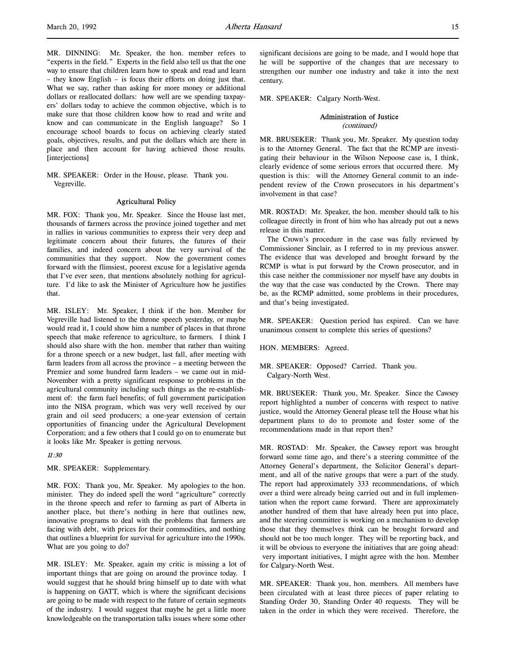l,

MR. DINNING: Mr. Speaker, the hon. member refers to "experts in the field." Experts in the field also tell us that the one way to ensure that children learn how to speak and read and learn – they know English – is focus their efforts on doing just that. What we say, rather than asking for more money or additional dollars or reallocated dollars: how well are we spending taxpayers' dollars today to achieve the common objective, which is to make sure that those children know how to read and write and know and can communicate in the English language? So I encourage school boards to focus on achieving clearly stated goals, objectives, results, and put the dollars which are there in place and then account for having achieved those results. [interjections]

MR. SPEAKER: Order in the House, please. Thank you. Vegreville.

# Agricultural Policy

MR. FOX: Thank you, Mr. Speaker. Since the House last met, thousands of farmers across the province joined together and met in rallies in various communities to express their very deep and legitimate concern about their futures, the futures of their families, and indeed concern about the very survival of the communities that they support. Now the government comes forward with the flimsiest, poorest excuse for a legislative agenda that I've ever seen, that mentions absolutely nothing for agriculture. I'd like to ask the Minister of Agriculture how he justifies that.

MR. ISLEY: Mr. Speaker, I think if the hon. Member for Vegreville had listened to the throne speech yesterday, or maybe would read it, I could show him a number of places in that throne speech that make reference to agriculture, to farmers. I think I should also share with the hon. member that rather than waiting for a throne speech or a new budget, last fall, after meeting with farm leaders from all across the province – a meeting between the Premier and some hundred farm leaders – we came out in mid-November with a pretty significant response to problems in the agricultural community including such things as the re-establishment of: the farm fuel benefits; of full government participation into the NISA program, which was very well received by our grain and oil seed producers; a one-year extension of certain opportunities of financing under the Agricultural Development Corporation; and a few others that I could go on to enumerate but it looks like Mr. Speaker is getting nervous.

#### 11:30

MR. SPEAKER: Supplementary.

MR. FOX: Thank you, Mr. Speaker. My apologies to the hon. minister. They do indeed spell the word "agriculture" correctly in the throne speech and refer to farming as part of Alberta in another place, but there's nothing in here that outlines new, innovative programs to deal with the problems that farmers are facing with debt, with prices for their commodities, and nothing that outlines a blueprint for survival for agriculture into the 1990s. What are you going to do?

MR. ISLEY: Mr. Speaker, again my critic is missing a lot of important things that are going on around the province today. I would suggest that he should bring himself up to date with what is happening on GATT, which is where the significant decisions are going to be made with respect to the future of certain segments of the industry. I would suggest that maybe he get a little more knowledgeable on the transportation talks issues where some other

significant decisions are going to be made, and I would hope that he will be supportive of the changes that are necessary to strengthen our number one industry and take it into the next century.

MR. SPEAKER: Calgary North-West.

# Administration of Justice (continued)

MR. BRUSEKER: Thank you, Mr. Speaker. My question today is to the Attorney General. The fact that the RCMP are investigating their behaviour in the Wilson Nepoose case is, I think, clearly evidence of some serious errors that occurred there. My question is this: will the Attorney General commit to an independent review of the Crown prosecutors in his department's involvement in that case?

MR. ROSTAD: Mr. Speaker, the hon. member should talk to his colleague directly in front of him who has already put out a news release in this matter.

The Crown's procedure in the case was fully reviewed by Commissioner Sinclair, as I referred to in my previous answer. The evidence that was developed and brought forward by the RCMP is what is put forward by the Crown prosecutor, and in this case neither the commissioner nor myself have any doubts in the way that the case was conducted by the Crown. There may be, as the RCMP admitted, some problems in their procedures, and that's being investigated.

MR. SPEAKER: Question period has expired. Can we have unanimous consent to complete this series of questions?

HON. MEMBERS: Agreed.

MR. SPEAKER: Opposed? Carried. Thank you. Calgary-North West.

MR. BRUSEKER: Thank you, Mr. Speaker. Since the Cawsey report highlighted a number of concerns with respect to native justice, would the Attorney General please tell the House what his department plans to do to promote and foster some of the recommendations made in that report then?

MR. ROSTAD: Mr. Speaker, the Cawsey report was brought forward some time ago, and there's a steering committee of the Attorney General's department, the Solicitor General's department, and all of the native groups that were a part of the study. The report had approximately 333 recommendations, of which over a third were already being carried out and in full implementation when the report came forward. There are approximately another hundred of them that have already been put into place, and the steering committee is working on a mechanism to develop those that they themselves think can be brought forward and should not be too much longer. They will be reporting back, and it will be obvious to everyone the initiatives that are going ahead: very important initiatives, I might agree with the hon. Member for Calgary-North West.

MR. SPEAKER: Thank you, hon. members. All members have been circulated with at least three pieces of paper relating to Standing Order 30, Standing Order 40 requests. They will be taken in the order in which they were received. Therefore, the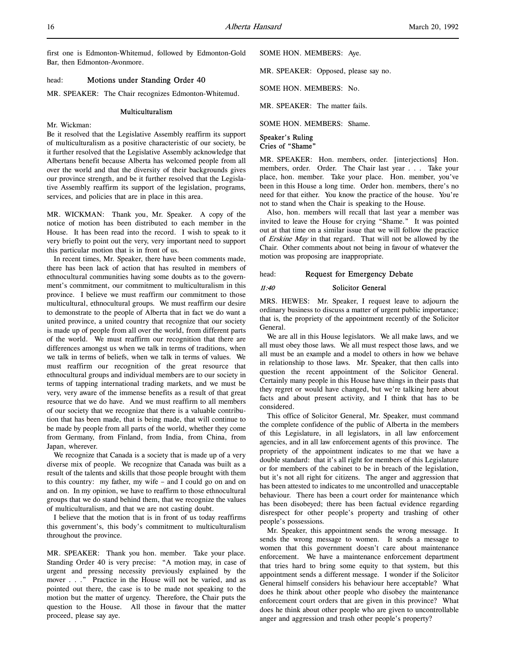first one is Edmonton-Whitemud, followed by Edmonton-Gold Bar, then Edmonton-Avonmore.

#### head: Motions under Standing Order 40

MR. SPEAKER: The Chair recognizes Edmonton-Whitemud.

### Multiculturalism

Mr. Wickman:

Be it resolved that the Legislative Assembly reaffirm its support of multiculturalism as a positive characteristic of our society, be it further resolved that the Legislative Assembly acknowledge that Albertans benefit because Alberta has welcomed people from all over the world and that the diversity of their backgrounds gives our province strength, and be it further resolved that the Legislative Assembly reaffirm its support of the legislation, programs, services, and policies that are in place in this area.

MR. WICKMAN: Thank you, Mr. Speaker. A copy of the notice of motion has been distributed to each member in the House. It has been read into the record. I wish to speak to it very briefly to point out the very, very important need to support this particular motion that is in front of us.

In recent times, Mr. Speaker, there have been comments made, there has been lack of action that has resulted in members of ethnocultural communities having some doubts as to the government's commitment, our commitment to multiculturalism in this province. I believe we must reaffirm our commitment to those multicultural, ethnocultural groups. We must reaffirm our desire to demonstrate to the people of Alberta that in fact we do want a united province, a united country that recognize that our society is made up of people from all over the world, from different parts of the world. We must reaffirm our recognition that there are differences amongst us when we talk in terms of traditions, when we talk in terms of beliefs, when we talk in terms of values. We must reaffirm our recognition of the great resource that ethnocultural groups and individual members are to our society in terms of tapping international trading markets, and we must be very, very aware of the immense benefits as a result of that great resource that we do have. And we must reaffirm to all members of our society that we recognize that there is a valuable contribution that has been made, that is being made, that will continue to be made by people from all parts of the world, whether they come from Germany, from Finland, from India, from China, from Japan, wherever.

We recognize that Canada is a society that is made up of a very diverse mix of people. We recognize that Canada was built as a result of the talents and skills that those people brought with them to this country: my father, my wife – and I could go on and on and on. In my opinion, we have to reaffirm to those ethnocultural groups that we do stand behind them, that we recognize the values of multiculturalism, and that we are not casting doubt.

I believe that the motion that is in front of us today reaffirms this government's, this body's commitment to multiculturalism throughout the province.

MR. SPEAKER: Thank you hon. member. Take your place. Standing Order 40 is very precise: "A motion may, in case of urgent and pressing necessity previously explained by the mover . . ." Practice in the House will not be varied, and as pointed out there, the case is to be made not speaking to the motion but the matter of urgency. Therefore, the Chair puts the question to the House. All those in favour that the matter proceed, please say aye.

SOME HON. MEMBERS: Aye.

MR. SPEAKER: Opposed, please say no.

SOME HON. MEMBERS: No.

MR. SPEAKER: The matter fails.

SOME HON. MEMBERS: Shame.

### Speaker's Ruling Cries of "Shame"

MR. SPEAKER: Hon. members, order. [interjections] Hon. members, order. Order. The Chair last year . . . Take your place, hon. member. Take your place. Hon. member, you've been in this House a long time. Order hon. members, there's no need for that either. You know the practice of the house. You're not to stand when the Chair is speaking to the House.

Also, hon. members will recall that last year a member was invited to leave the House for crying "Shame." It was pointed out at that time on a similar issue that we will follow the practice of Erskine May in that regard. That will not be allowed by the Chair. Other comments about not being in favour of whatever the motion was proposing are inappropriate.

### head: Request for Emergency Debate

#### 11:40 Solicitor General

MRS. HEWES: Mr. Speaker, I request leave to adjourn the ordinary business to discuss a matter of urgent public importance; that is, the propriety of the appointment recently of the Solicitor General.

We are all in this House legislators. We all make laws, and we all must obey those laws. We all must respect those laws, and we all must be an example and a model to others in how we behave in relationship to those laws. Mr. Speaker, that then calls into question the recent appointment of the Solicitor General. Certainly many people in this House have things in their pasts that they regret or would have changed, but we're talking here about facts and about present activity, and I think that has to be considered.

This office of Solicitor General, Mr. Speaker, must command the complete confidence of the public of Alberta in the members of this Legislature, in all legislators, in all law enforcement agencies, and in all law enforcement agents of this province. The propriety of the appointment indicates to me that we have a double standard: that it's all right for members of this Legislature or for members of the cabinet to be in breach of the legislation, but it's not all right for citizens. The anger and aggression that has been attested to indicates to me uncontrolled and unacceptable behaviour. There has been a court order for maintenance which has been disobeyed; there has been factual evidence regarding disrespect for other people's property and trashing of other people's possessions.

Mr. Speaker, this appointment sends the wrong message. It sends the wrong message to women. It sends a message to women that this government doesn't care about maintenance enforcement. We have a maintenance enforcement department that tries hard to bring some equity to that system, but this appointment sends a different message. I wonder if the Solicitor General himself considers his behaviour here acceptable? What does he think about other people who disobey the maintenance enforcement court orders that are given in this province? What does he think about other people who are given to uncontrollable anger and aggression and trash other people's property?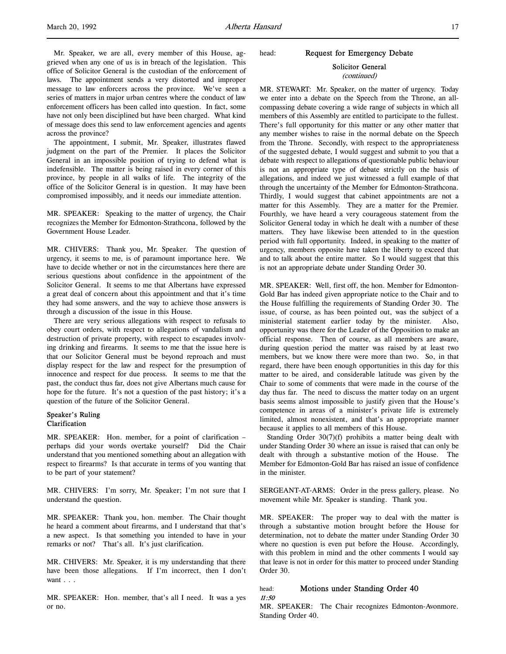Mr. Speaker, we are all, every member of this House, aggrieved when any one of us is in breach of the legislation. This office of Solicitor General is the custodian of the enforcement of laws. The appointment sends a very distorted and improper message to law enforcers across the province. We've seen a series of matters in major urban centres where the conduct of law enforcement officers has been called into question. In fact, some have not only been disciplined but have been charged. What kind of message does this send to law enforcement agencies and agents across the province?

The appointment, I submit, Mr. Speaker, illustrates flawed judgment on the part of the Premier. It places the Solicitor General in an impossible position of trying to defend what is indefensible. The matter is being raised in every corner of this province, by people in all walks of life. The integrity of the office of the Solicitor General is in question. It may have been compromised impossibly, and it needs our immediate attention.

MR. SPEAKER: Speaking to the matter of urgency, the Chair recognizes the Member for Edmonton-Strathcona, followed by the Government House Leader.

MR. CHIVERS: Thank you, Mr. Speaker. The question of urgency, it seems to me, is of paramount importance here. We have to decide whether or not in the circumstances here there are serious questions about confidence in the appointment of the Solicitor General. It seems to me that Albertans have expressed a great deal of concern about this appointment and that it's time they had some answers, and the way to achieve those answers is through a discussion of the issue in this House.

There are very serious allegations with respect to refusals to obey court orders, with respect to allegations of vandalism and destruction of private property, with respect to escapades involving drinking and firearms. It seems to me that the issue here is that our Solicitor General must be beyond reproach and must display respect for the law and respect for the presumption of innocence and respect for due process. It seems to me that the past, the conduct thus far, does not give Albertans much cause for hope for the future. It's not a question of the past history; it's a question of the future of the Solicitor General.

# Speaker's Ruling Clarification

MR. SPEAKER: Hon. member, for a point of clarification – perhaps did your words overtake yourself? Did the Chair understand that you mentioned something about an allegation with respect to firearms? Is that accurate in terms of you wanting that to be part of your statement?

MR. CHIVERS: I'm sorry, Mr. Speaker; I'm not sure that I understand the question.

MR. SPEAKER: Thank you, hon. member. The Chair thought he heard a comment about firearms, and I understand that that's a new aspect. Is that something you intended to have in your remarks or not? That's all. It's just clarification.

MR. CHIVERS: Mr. Speaker, it is my understanding that there have been those allegations. If I'm incorrect, then I don't want . . .

MR. SPEAKER: Hon. member, that's all I need. It was a yes or no.

# head: Request for Emergency Debate

Solicitor General (continued)

MR. STEWART: Mr. Speaker, on the matter of urgency. Today we enter into a debate on the Speech from the Throne, an allcompassing debate covering a wide range of subjects in which all members of this Assembly are entitled to participate to the fullest. There's full opportunity for this matter or any other matter that any member wishes to raise in the normal debate on the Speech from the Throne. Secondly, with respect to the appropriateness of the suggested debate, I would suggest and submit to you that a debate with respect to allegations of questionable public behaviour is not an appropriate type of debate strictly on the basis of allegations, and indeed we just witnessed a full example of that through the uncertainty of the Member for Edmonton-Strathcona. Thirdly, I would suggest that cabinet appointments are not a matter for this Assembly. They are a matter for the Premier. Fourthly, we have heard a very courageous statement from the Solicitor General today in which he dealt with a number of these matters. They have likewise been attended to in the question period with full opportunity. Indeed, in speaking to the matter of urgency, members opposite have taken the liberty to exceed that and to talk about the entire matter. So I would suggest that this is not an appropriate debate under Standing Order 30.

MR. SPEAKER: Well, first off, the hon. Member for Edmonton-Gold Bar has indeed given appropriate notice to the Chair and to the House fulfilling the requirements of Standing Order 30. The issue, of course, as has been pointed out, was the subject of a ministerial statement earlier today by the minister. Also, opportunity was there for the Leader of the Opposition to make an official response. Then of course, as all members are aware, during question period the matter was raised by at least two members, but we know there were more than two. So, in that regard, there have been enough opportunities in this day for this matter to be aired, and considerable latitude was given by the Chair to some of comments that were made in the course of the day thus far. The need to discuss the matter today on an urgent basis seems almost impossible to justify given that the House's competence in areas of a minister's private life is extremely limited, almost nonexistent, and that's an appropriate manner because it applies to all members of this House.

Standing Order 30(7)(f) prohibits a matter being dealt with under Standing Order 30 where an issue is raised that can only be dealt with through a substantive motion of the House. The Member for Edmonton-Gold Bar has raised an issue of confidence in the minister.

SERGEANT-AT-ARMS: Order in the press gallery, please. No movement while Mr. Speaker is standing. Thank you.

MR. SPEAKER: The proper way to deal with the matter is through a substantive motion brought before the House for determination, not to debate the matter under Standing Order 30 where no question is even put before the House. Accordingly, with this problem in mind and the other comments I would say that leave is not in order for this matter to proceed under Standing Order 30.

#### head: **Motions under Standing Order 40** 11:50

MR. SPEAKER: The Chair recognizes Edmonton-Avonmore. Standing Order 40.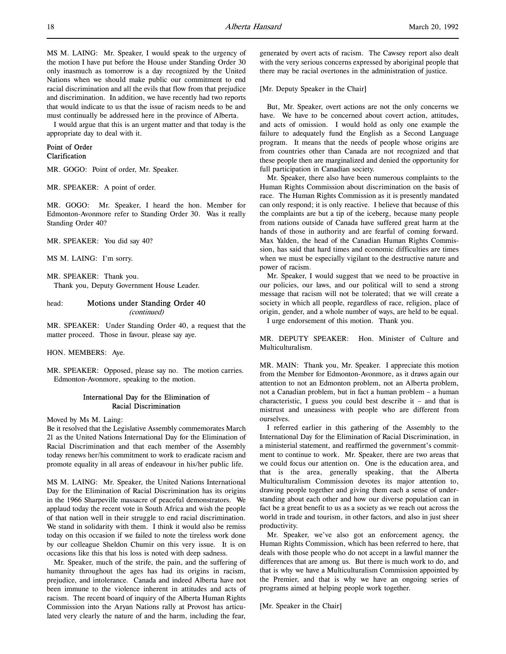MS M. LAING: Mr. Speaker, I would speak to the urgency of the motion I have put before the House under Standing Order 30 only inasmuch as tomorrow is a day recognized by the United Nations when we should make public our commitment to end racial discrimination and all the evils that flow from that prejudice and discrimination. In addition, we have recently had two reports that would indicate to us that the issue of racism needs to be and must continually be addressed here in the province of Alberta.

I would argue that this is an urgent matter and that today is the appropriate day to deal with it.

## Point of Order Clarification

MR. GOGO: Point of order, Mr. Speaker.

MR. SPEAKER: A point of order.

MR. GOGO: Mr. Speaker, I heard the hon. Member for Edmonton-Avonmore refer to Standing Order 30. Was it really Standing Order 40?

MR. SPEAKER: You did say 40?

MS M. LAING: I'm sorry.

MR. SPEAKER: Thank you. Thank you, Deputy Government House Leader.

### head: Motions under Standing Order 40

(continued)

MR. SPEAKER: Under Standing Order 40, a request that the matter proceed. Those in favour, please say aye.

HON. MEMBERS: Aye.

MR. SPEAKER: Opposed, please say no. The motion carries. Edmonton-Avonmore, speaking to the motion.

### International Day for the Elimination of Racial Discrimination

Moved by Ms M. Laing:

Be it resolved that the Legislative Assembly commemorates March 21 as the United Nations International Day for the Elimination of Racial Discrimination and that each member of the Assembly today renews her/his commitment to work to eradicate racism and promote equality in all areas of endeavour in his/her public life.

MS M. LAING: Mr. Speaker, the United Nations International Day for the Elimination of Racial Discrimination has its origins in the 1966 Sharpeville massacre of peaceful demonstrators. We applaud today the recent vote in South Africa and wish the people of that nation well in their struggle to end racial discrimination. We stand in solidarity with them. I think it would also be remiss today on this occasion if we failed to note the tireless work done by our colleague Sheldon Chumir on this very issue. It is on occasions like this that his loss is noted with deep sadness.

Mr. Speaker, much of the strife, the pain, and the suffering of humanity throughout the ages has had its origins in racism, prejudice, and intolerance. Canada and indeed Alberta have not been immune to the violence inherent in attitudes and acts of racism. The recent board of inquiry of the Alberta Human Rights Commission into the Aryan Nations rally at Provost has articulated very clearly the nature of and the harm, including the fear,

generated by overt acts of racism. The Cawsey report also dealt with the very serious concerns expressed by aboriginal people that there may be racial overtones in the administration of justice.

[Mr. Deputy Speaker in the Chair]

But, Mr. Speaker, overt actions are not the only concerns we have. We have to be concerned about covert action, attitudes, and acts of omission. I would hold as only one example the failure to adequately fund the English as a Second Language program. It means that the needs of people whose origins are from countries other than Canada are not recognized and that these people then are marginalized and denied the opportunity for full participation in Canadian society.

Mr. Speaker, there also have been numerous complaints to the Human Rights Commission about discrimination on the basis of race. The Human Rights Commission as it is presently mandated can only respond; it is only reactive. I believe that because of this the complaints are but a tip of the iceberg, because many people from nations outside of Canada have suffered great harm at the hands of those in authority and are fearful of coming forward. Max Yalden, the head of the Canadian Human Rights Commission, has said that hard times and economic difficulties are times when we must be especially vigilant to the destructive nature and power of racism.

Mr. Speaker, I would suggest that we need to be proactive in our policies, our laws, and our political will to send a strong message that racism will not be tolerated; that we will create a society in which all people, regardless of race, religion, place of origin, gender, and a whole number of ways, are held to be equal.

I urge endorsement of this motion. Thank you.

MR. DEPUTY SPEAKER: Hon. Minister of Culture and Multiculturalism.

MR. MAIN: Thank you, Mr. Speaker. I appreciate this motion from the Member for Edmonton-Avonmore, as it draws again our attention to not an Edmonton problem, not an Alberta problem, not a Canadian problem, but in fact a human problem – a human characteristic, I guess you could best describe it – and that is mistrust and uneasiness with people who are different from ourselves.

I referred earlier in this gathering of the Assembly to the International Day for the Elimination of Racial Discrimination, in a ministerial statement, and reaffirmed the government's commitment to continue to work. Mr. Speaker, there are two areas that we could focus our attention on. One is the education area, and that is the area, generally speaking, that the Alberta Multiculturalism Commission devotes its major attention to, drawing people together and giving them each a sense of understanding about each other and how our diverse population can in fact be a great benefit to us as a society as we reach out across the world in trade and tourism, in other factors, and also in just sheer productivity.

Mr. Speaker, we've also got an enforcement agency, the Human Rights Commission, which has been referred to here, that deals with those people who do not accept in a lawful manner the differences that are among us. But there is much work to do, and that is why we have a Multiculturalism Commission appointed by the Premier, and that is why we have an ongoing series of programs aimed at helping people work together.

[Mr. Speaker in the Chair]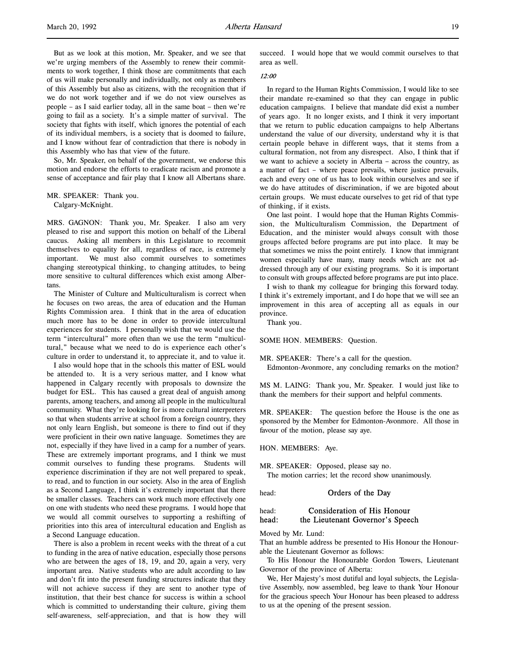l,

But as we look at this motion, Mr. Speaker, and we see that we're urging members of the Assembly to renew their commitments to work together, I think those are commitments that each of us will make personally and individually, not only as members of this Assembly but also as citizens, with the recognition that if we do not work together and if we do not view ourselves as people – as I said earlier today, all in the same boat – then we're going to fail as a society. It's a simple matter of survival. The society that fights with itself, which ignores the potential of each of its individual members, is a society that is doomed to failure, and I know without fear of contradiction that there is nobody in this Assembly who has that view of the future.

So, Mr. Speaker, on behalf of the government, we endorse this motion and endorse the efforts to eradicate racism and promote a sense of acceptance and fair play that I know all Albertans share.

MR. SPEAKER: Thank you. Calgary-McKnight.

MRS. GAGNON: Thank you, Mr. Speaker. I also am very pleased to rise and support this motion on behalf of the Liberal caucus. Asking all members in this Legislature to recommit themselves to equality for all, regardless of race, is extremely important. We must also commit ourselves to sometimes changing stereotypical thinking, to changing attitudes, to being more sensitive to cultural differences which exist among Albertans.

The Minister of Culture and Multiculturalism is correct when he focuses on two areas, the area of education and the Human Rights Commission area. I think that in the area of education much more has to be done in order to provide intercultural experiences for students. I personally wish that we would use the term "intercultural" more often than we use the term "multicultural," because what we need to do is experience each other's culture in order to understand it, to appreciate it, and to value it.

I also would hope that in the schools this matter of ESL would be attended to. It is a very serious matter, and I know what happened in Calgary recently with proposals to downsize the budget for ESL. This has caused a great deal of anguish among parents, among teachers, and among all people in the multicultural community. What they're looking for is more cultural interpreters so that when students arrive at school from a foreign country, they not only learn English, but someone is there to find out if they were proficient in their own native language. Sometimes they are not, especially if they have lived in a camp for a number of years. These are extremely important programs, and I think we must commit ourselves to funding these programs. Students will experience discrimination if they are not well prepared to speak, to read, and to function in our society. Also in the area of English as a Second Language, I think it's extremely important that there be smaller classes. Teachers can work much more effectively one on one with students who need these programs. I would hope that we would all commit ourselves to supporting a reshifting of priorities into this area of intercultural education and English as a Second Language education.

There is also a problem in recent weeks with the threat of a cut to funding in the area of native education, especially those persons who are between the ages of 18, 19, and 20, again a very, very important area. Native students who are adult according to law and don't fit into the present funding structures indicate that they will not achieve success if they are sent to another type of institution, that their best chance for success is within a school which is committed to understanding their culture, giving them self-awareness, self-appreciation, and that is how they will

succeed. I would hope that we would commit ourselves to that area as well.

### 12:00

In regard to the Human Rights Commission, I would like to see their mandate re-examined so that they can engage in public education campaigns. I believe that mandate did exist a number of years ago. It no longer exists, and I think it very important that we return to public education campaigns to help Albertans understand the value of our diversity, understand why it is that certain people behave in different ways, that it stems from a cultural formation, not from any disrespect. Also, I think that if we want to achieve a society in Alberta – across the country, as a matter of fact – where peace prevails, where justice prevails, each and every one of us has to look within ourselves and see if we do have attitudes of discrimination, if we are bigoted about certain groups. We must educate ourselves to get rid of that type of thinking, if it exists.

One last point. I would hope that the Human Rights Commission, the Multiculturalism Commission, the Department of Education, and the minister would always consult with those groups affected before programs are put into place. It may be that sometimes we miss the point entirely. I know that immigrant women especially have many, many needs which are not addressed through any of our existing programs. So it is important to consult with groups affected before programs are put into place.

I wish to thank my colleague for bringing this forward today. I think it's extremely important, and I do hope that we will see an improvement in this area of accepting all as equals in our province.

Thank you.

SOME HON. MEMBERS: Question.

MR. SPEAKER: There's a call for the question.

Edmonton-Avonmore, any concluding remarks on the motion?

MS M. LAING: Thank you, Mr. Speaker. I would just like to thank the members for their support and helpful comments.

MR. SPEAKER: The question before the House is the one as sponsored by the Member for Edmonton-Avonmore. All those in favour of the motion, please say aye.

HON. MEMBERS: Aye.

MR. SPEAKER: Opposed, please say no. The motion carries; let the record show unanimously.

head: **Orders of the Day** 

### head: Consideration of His Honour head: the Lieutenant Governor's Speech

Moved by Mr. Lund:

That an humble address be presented to His Honour the Honourable the Lieutenant Governor as follows:

To His Honour the Honourable Gordon Towers, Lieutenant Governor of the province of Alberta:

We, Her Majesty's most dutiful and loyal subjects, the Legislative Assembly, now assembled, beg leave to thank Your Honour for the gracious speech Your Honour has been pleased to address to us at the opening of the present session.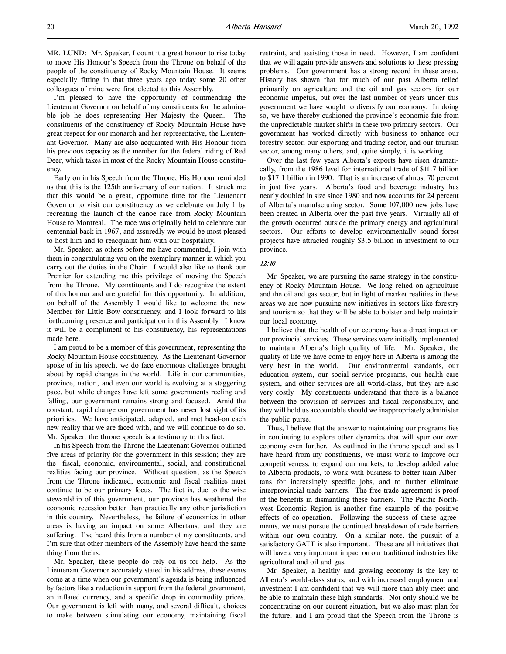MR. LUND: Mr. Speaker, I count it a great honour to rise today to move His Honour's Speech from the Throne on behalf of the people of the constituency of Rocky Mountain House. It seems especially fitting in that three years ago today some 20 other colleagues of mine were first elected to this Assembly.

I'm pleased to have the opportunity of commending the Lieutenant Governor on behalf of my constituents for the admirable job he does representing Her Majesty the Queen. The constituents of the constituency of Rocky Mountain House have great respect for our monarch and her representative, the Lieutenant Governor. Many are also acquainted with His Honour from his previous capacity as the member for the federal riding of Red Deer, which takes in most of the Rocky Mountain House constituency.

Early on in his Speech from the Throne, His Honour reminded us that this is the 125th anniversary of our nation. It struck me that this would be a great, opportune time for the Lieutenant Governor to visit our constituency as we celebrate on July 1 by recreating the launch of the canoe race from Rocky Mountain House to Montreal. The race was originally held to celebrate our centennial back in 1967, and assuredly we would be most pleased to host him and to reacquaint him with our hospitality.

Mr. Speaker, as others before me have commented, I join with them in congratulating you on the exemplary manner in which you carry out the duties in the Chair. I would also like to thank our Premier for extending me this privilege of moving the Speech from the Throne. My constituents and I do recognize the extent of this honour and are grateful for this opportunity. In addition, on behalf of the Assembly I would like to welcome the new Member for Little Bow constituency, and I look forward to his forthcoming presence and participation in this Assembly. I know it will be a compliment to his constituency, his representations made here.

I am proud to be a member of this government, representing the Rocky Mountain House constituency. As the Lieutenant Governor spoke of in his speech, we do face enormous challenges brought about by rapid changes in the world. Life in our communities, province, nation, and even our world is evolving at a staggering pace, but while changes have left some governments reeling and falling, our government remains strong and focused. Amid the constant, rapid change our government has never lost sight of its priorities. We have anticipated, adapted, and met head-on each new reality that we are faced with, and we will continue to do so. Mr. Speaker, the throne speech is a testimony to this fact.

In his Speech from the Throne the Lieutenant Governor outlined five areas of priority for the government in this session; they are the fiscal, economic, environmental, social, and constitutional realities facing our province. Without question, as the Speech from the Throne indicated, economic and fiscal realities must continue to be our primary focus. The fact is, due to the wise stewardship of this government, our province has weathered the economic recession better than practically any other jurisdiction in this country. Nevertheless, the failure of economics in other areas is having an impact on some Albertans, and they are suffering. I've heard this from a number of my constituents, and I'm sure that other members of the Assembly have heard the same thing from theirs.

Mr. Speaker, these people do rely on us for help. As the Lieutenant Governor accurately stated in his address, these events come at a time when our government's agenda is being influenced by factors like a reduction in support from the federal government, an inflated currency, and a specific drop in commodity prices. Our government is left with many, and several difficult, choices to make between stimulating our economy, maintaining fiscal restraint, and assisting those in need. However, I am confident that we will again provide answers and solutions to these pressing problems. Our government has a strong record in these areas. History has shown that for much of our past Alberta relied primarily on agriculture and the oil and gas sectors for our economic impetus, but over the last number of years under this government we have sought to diversify our economy. In doing so, we have thereby cushioned the province's economic fate from the unpredictable market shifts in these two primary sectors. Our government has worked directly with business to enhance our forestry sector, our exporting and trading sector, and our tourism sector, among many others, and, quite simply, it is working.

Over the last few years Alberta's exports have risen dramatically, from the 1986 level for international trade of \$11.7 billion to \$17.1 billion in 1990. That is an increase of almost 70 percent in just five years. Alberta's food and beverage industry has nearly doubled in size since 1980 and now accounts for 24 percent of Alberta's manufacturing sector. Some 107,000 new jobs have been created in Alberta over the past five years. Virtually all of the growth occurred outside the primary energy and agricultural sectors. Our efforts to develop environmentally sound forest projects have attracted roughly \$3.5 billion in investment to our province.

#### 12:10

Mr. Speaker, we are pursuing the same strategy in the constituency of Rocky Mountain House. We long relied on agriculture and the oil and gas sector, but in light of market realities in these areas we are now pursuing new initiatives in sectors like forestry and tourism so that they will be able to bolster and help maintain our local economy.

I believe that the health of our economy has a direct impact on our provincial services. These services were initially implemented to maintain Alberta's high quality of life. Mr. Speaker, the quality of life we have come to enjoy here in Alberta is among the very best in the world. Our environmental standards, our education system, our social service programs, our health care system, and other services are all world-class, but they are also very costly. My constituents understand that there is a balance between the provision of services and fiscal responsibility, and they will hold us accountable should we inappropriately administer the public purse.

Thus, I believe that the answer to maintaining our programs lies in continuing to explore other dynamics that will spur our own economy even further. As outlined in the throne speech and as I have heard from my constituents, we must work to improve our competitiveness, to expand our markets, to develop added value to Alberta products, to work with business to better train Albertans for increasingly specific jobs, and to further eliminate interprovincial trade barriers. The free trade agreement is proof of the benefits in dismantling these barriers. The Pacific Northwest Economic Region is another fine example of the positive effects of co-operation. Following the success of these agreements, we must pursue the continued breakdown of trade barriers within our own country. On a similar note, the pursuit of a satisfactory GATT is also important. These are all initiatives that will have a very important impact on our traditional industries like agricultural and oil and gas.

Mr. Speaker, a healthy and growing economy is the key to Alberta's world-class status, and with increased employment and investment I am confident that we will more than ably meet and be able to maintain these high standards. Not only should we be concentrating on our current situation, but we also must plan for the future, and I am proud that the Speech from the Throne is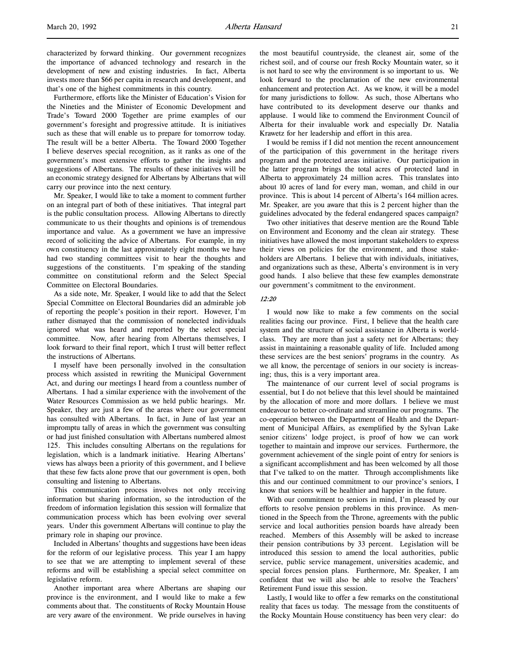Furthermore, efforts like the Minister of Education's Vision for the Nineties and the Minister of Economic Development and Trade's Toward 2000 Together are prime examples of our government's foresight and progressive attitude. It is initiatives such as these that will enable us to prepare for tomorrow today. The result will be a better Alberta. The Toward 2000 Together I believe deserves special recognition, as it ranks as one of the government's most extensive efforts to gather the insights and suggestions of Albertans. The results of these initiatives will be an economic strategy designed for Albertans by Albertans that will carry our province into the next century.

Mr. Speaker, I would like to take a moment to comment further on an integral part of both of these initiatives. That integral part is the public consultation process. Allowing Albertans to directly communicate to us their thoughts and opinions is of tremendous importance and value. As a government we have an impressive record of soliciting the advice of Albertans. For example, in my own constituency in the last approximately eight months we have had two standing committees visit to hear the thoughts and suggestions of the constituents. I'm speaking of the standing committee on constitutional reform and the Select Special Committee on Electoral Boundaries.

As a side note, Mr. Speaker, I would like to add that the Select Special Committee on Electoral Boundaries did an admirable job of reporting the people's position in their report. However, I'm rather dismayed that the commission of nonelected individuals ignored what was heard and reported by the select special committee. Now, after hearing from Albertans themselves, I look forward to their final report, which I trust will better reflect the instructions of Albertans.

I myself have been personally involved in the consultation process which assisted in rewriting the Municipal Government Act, and during our meetings I heard from a countless number of Albertans. I had a similar experience with the involvement of the Water Resources Commission as we held public hearings. Mr. Speaker, they are just a few of the areas where our government has consulted with Albertans. In fact, in June of last year an impromptu tally of areas in which the government was consulting or had just finished consultation with Albertans numbered almost 125. This includes consulting Albertans on the regulations for legislation, which is a landmark initiative. Hearing Albertans' views has always been a priority of this government, and I believe that these few facts alone prove that our government is open, both consulting and listening to Albertans.

This communication process involves not only receiving information but sharing information, so the introduction of the freedom of information legislation this session will formalize that communication process which has been evolving over several years. Under this government Albertans will continue to play the primary role in shaping our province.

Included in Albertans' thoughts and suggestions have been ideas for the reform of our legislative process. This year I am happy to see that we are attempting to implement several of these reforms and will be establishing a special select committee on legislative reform.

Another important area where Albertans are shaping our province is the environment, and I would like to make a few comments about that. The constituents of Rocky Mountain House are very aware of the environment. We pride ourselves in having

the most beautiful countryside, the cleanest air, some of the richest soil, and of course our fresh Rocky Mountain water, so it is not hard to see why the environment is so important to us. We look forward to the proclamation of the new environmental enhancement and protection Act. As we know, it will be a model for many jurisdictions to follow. As such, those Albertans who have contributed to its development deserve our thanks and applause. I would like to commend the Environment Council of Alberta for their invaluable work and especially Dr. Natalia Krawetz for her leadership and effort in this area.

I would be remiss if I did not mention the recent announcement of the participation of this government in the heritage rivers program and the protected areas initiative. Our participation in the latter program brings the total acres of protected land in Alberta to approximately 24 million acres. This translates into about 10 acres of land for every man, woman, and child in our province. This is about 14 percent of Alberta's 164 million acres. Mr. Speaker, are you aware that this is 2 percent higher than the guidelines advocated by the federal endangered spaces campaign?

Two other initiatives that deserve mention are the Round Table on Environment and Economy and the clean air strategy. These initiatives have allowed the most important stakeholders to express their views on policies for the environment, and those stakeholders are Albertans. I believe that with individuals, initiatives, and organizations such as these, Alberta's environment is in very good hands. I also believe that these few examples demonstrate our government's commitment to the environment.

#### 12:20

I would now like to make a few comments on the social realities facing our province. First, I believe that the health care system and the structure of social assistance in Alberta is worldclass. They are more than just a safety net for Albertans; they assist in maintaining a reasonable quality of life. Included among these services are the best seniors' programs in the country. As we all know, the percentage of seniors in our society is increasing; thus, this is a very important area.

The maintenance of our current level of social programs is essential, but I do not believe that this level should be maintained by the allocation of more and more dollars. I believe we must endeavour to better co-ordinate and streamline our programs. The co-operation between the Department of Health and the Department of Municipal Affairs, as exemplified by the Sylvan Lake senior citizens' lodge project, is proof of how we can work together to maintain and improve our services. Furthermore, the government achievement of the single point of entry for seniors is a significant accomplishment and has been welcomed by all those that I've talked to on the matter. Through accomplishments like this and our continued commitment to our province's seniors, I know that seniors will be healthier and happier in the future.

With our commitment to seniors in mind, I'm pleased by our efforts to resolve pension problems in this province. As mentioned in the Speech from the Throne, agreements with the public service and local authorities pension boards have already been reached. Members of this Assembly will be asked to increase their pension contributions by 33 percent. Legislation will be introduced this session to amend the local authorities, public service, public service management, universities academic, and special forces pension plans. Furthermore, Mr. Speaker, I am confident that we will also be able to resolve the Teachers' Retirement Fund issue this session.

Lastly, I would like to offer a few remarks on the constitutional reality that faces us today. The message from the constituents of the Rocky Mountain House constituency has been very clear: do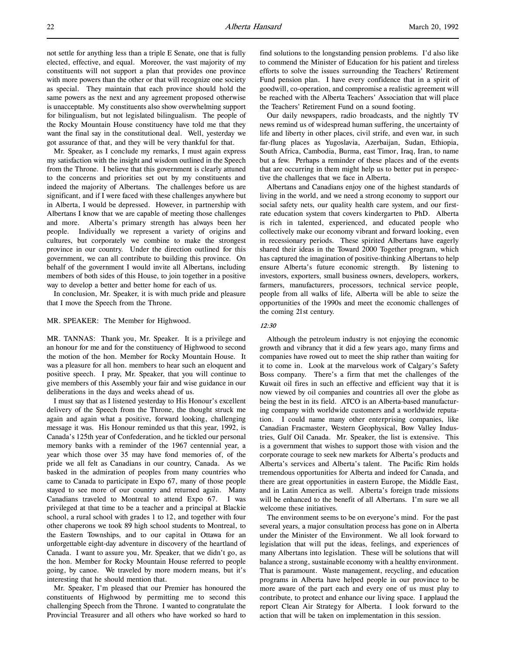not settle for anything less than a triple E Senate, one that is fully elected, effective, and equal. Moreover, the vast majority of my constituents will not support a plan that provides one province with more powers than the other or that will recognize one society as special. They maintain that each province should hold the same powers as the next and any agreement proposed otherwise is unacceptable. My constituents also show overwhelming support for bilingualism, but not legislated bilingualism. The people of the Rocky Mountain House constituency have told me that they want the final say in the constitutional deal. Well, yesterday we got assurance of that, and they will be very thankful for that.

Mr. Speaker, as I conclude my remarks, I must again express my satisfaction with the insight and wisdom outlined in the Speech from the Throne. I believe that this government is clearly attuned to the concerns and priorities set out by my constituents and indeed the majority of Albertans. The challenges before us are significant, and if I were faced with these challenges anywhere but in Alberta, I would be depressed. However, in partnership with Albertans I know that we are capable of meeting those challenges and more. Alberta's primary strength has always been her people. Individually we represent a variety of origins and cultures, but corporately we combine to make the strongest province in our country. Under the direction outlined for this government, we can all contribute to building this province. On behalf of the government I would invite all Albertans, including members of both sides of this House, to join together in a positive way to develop a better and better home for each of us.

In conclusion, Mr. Speaker, it is with much pride and pleasure that I move the Speech from the Throne.

### MR. SPEAKER: The Member for Highwood.

MR. TANNAS: Thank you, Mr. Speaker. It is a privilege and an honour for me and for the constituency of Highwood to second the motion of the hon. Member for Rocky Mountain House. It was a pleasure for all hon. members to hear such an eloquent and positive speech. I pray, Mr. Speaker, that you will continue to give members of this Assembly your fair and wise guidance in our deliberations in the days and weeks ahead of us.

I must say that as I listened yesterday to His Honour's excellent delivery of the Speech from the Throne, the thought struck me again and again what a positive, forward looking, challenging message it was. His Honour reminded us that this year, 1992, is Canada's 125th year of Confederation, and he tickled our personal memory banks with a reminder of the 1967 centennial year, a year which those over 35 may have fond memories of, of the pride we all felt as Canadians in our country, Canada. As we basked in the admiration of peoples from many countries who came to Canada to participate in Expo 67, many of those people stayed to see more of our country and returned again. Many Canadians traveled to Montreal to attend Expo 67. I was privileged at that time to be a teacher and a principal at Blackie school, a rural school with grades 1 to 12, and together with four other chaperons we took 89 high school students to Montreal, to the Eastern Townships, and to our capital in Ottawa for an unforgettable eight-day adventure in discovery of the heartland of Canada. I want to assure you, Mr. Speaker, that we didn't go, as the hon. Member for Rocky Mountain House referred to people going, by canoe. We traveled by more modern means, but it's interesting that he should mention that.

Mr. Speaker, I'm pleased that our Premier has honoured the constituents of Highwood by permitting me to second this challenging Speech from the Throne. I wanted to congratulate the Provincial Treasurer and all others who have worked so hard to

find solutions to the longstanding pension problems. I'd also like to commend the Minister of Education for his patient and tireless efforts to solve the issues surrounding the Teachers' Retirement Fund pension plan. I have every confidence that in a spirit of goodwill, co-operation, and compromise a realistic agreement will be reached with the Alberta Teachers' Association that will place the Teachers' Retirement Fund on a sound footing.

Our daily newspapers, radio broadcasts, and the nightly TV news remind us of widespread human suffering, the uncertainty of life and liberty in other places, civil strife, and even war, in such far-flung places as Yugoslavia, Azerbaijan, Sudan, Ethiopia, South Africa, Cambodia, Burma, east Timor, Iraq, Iran, to name but a few. Perhaps a reminder of these places and of the events that are occurring in them might help us to better put in perspective the challenges that we face in Alberta.

Albertans and Canadians enjoy one of the highest standards of living in the world, and we need a strong economy to support our social safety nets, our quality health care system, and our firstrate education system that covers kindergarten to PhD. Alberta is rich in talented, experienced, and educated people who collectively make our economy vibrant and forward looking, even in recessionary periods. These spirited Albertans have eagerly shared their ideas in the Toward 2000 Together program, which has captured the imagination of positive-thinking Albertans to help ensure Alberta's future economic strength. By listening to investors, exporters, small business owners, developers, workers, farmers, manufacturers, processors, technical service people, people from all walks of life, Alberta will be able to seize the opportunities of the 1990s and meet the economic challenges of the coming 21st century.

# 12:30

Although the petroleum industry is not enjoying the economic growth and vibrancy that it did a few years ago, many firms and companies have rowed out to meet the ship rather than waiting for it to come in. Look at the marvelous work of Calgary's Safety Boss company. There's a firm that met the challenges of the Kuwait oil fires in such an effective and efficient way that it is now viewed by oil companies and countries all over the globe as being the best in its field. ATCO is an Alberta-based manufacturing company with worldwide customers and a worldwide reputation. I could name many other enterprising companies, like Canadian Fracmaster, Western Geophysical, Bow Valley Industries, Gulf Oil Canada. Mr. Speaker, the list is extensive. This is a government that wishes to support those with vision and the corporate courage to seek new markets for Alberta's products and Alberta's services and Alberta's talent. The Pacific Rim holds tremendous opportunities for Alberta and indeed for Canada, and there are great opportunities in eastern Europe, the Middle East, and in Latin America as well. Alberta's foreign trade missions will be enhanced to the benefit of all Albertans. I'm sure we all welcome these initiatives.

The environment seems to be on everyone's mind. For the past several years, a major consultation process has gone on in Alberta under the Minister of the Environment. We all look forward to legislation that will put the ideas, feelings, and experiences of many Albertans into legislation. These will be solutions that will balance a strong, sustainable economy with a healthy environment. That is paramount. Waste management, recycling, and education programs in Alberta have helped people in our province to be more aware of the part each and every one of us must play to contribute, to protect and enhance our living space. I applaud the report Clean Air Strategy for Alberta. I look forward to the action that will be taken on implementation in this session.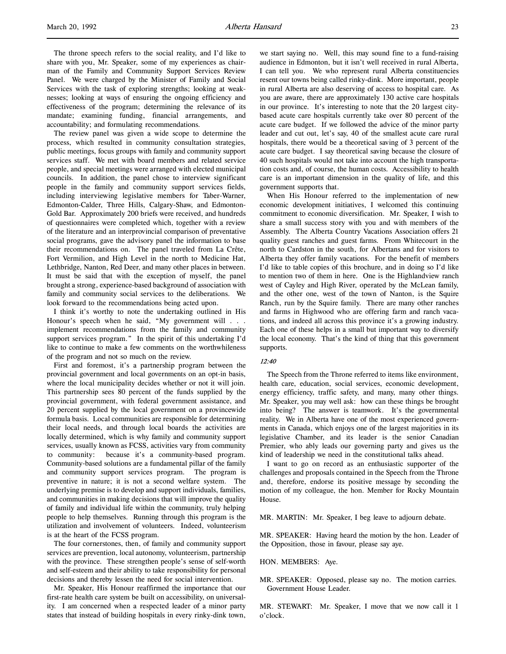The throne speech refers to the social reality, and I'd like to share with you, Mr. Speaker, some of my experiences as chairman of the Family and Community Support Services Review Panel. We were charged by the Minister of Family and Social Services with the task of exploring strengths; looking at weaknesses; looking at ways of ensuring the ongoing efficiency and effectiveness of the program; determining the relevance of its mandate; examining funding, financial arrangements, and accountability; and formulating recommendations.

The review panel was given a wide scope to determine the process, which resulted in community consultation strategies, public meetings, focus groups with family and community support services staff. We met with board members and related service people, and special meetings were arranged with elected municipal councils. In addition, the panel chose to interview significant people in the family and community support services fields, including interviewing legislative members for Taber-Warner, Edmonton-Calder, Three Hills, Calgary-Shaw, and Edmonton-Gold Bar. Approximately 200 briefs were received, and hundreds of questionnaires were completed which, together with a review of the literature and an interprovincial comparison of preventative social programs, gave the advisory panel the information to base their recommendations on. The panel traveled from La Crête, Fort Vermilion, and High Level in the north to Medicine Hat, Lethbridge, Nanton, Red Deer, and many other places in between. It must be said that with the exception of myself, the panel brought a strong, experience-based background of association with family and community social services to the deliberations. We look forward to the recommendations being acted upon.

I think it's worthy to note the undertaking outlined in His Honour's speech when he said, "My government will . . . implement recommendations from the family and community support services program." In the spirit of this undertaking I'd like to continue to make a few comments on the worthwhileness of the program and not so much on the review.

First and foremost, it's a partnership program between the provincial government and local governments on an opt-in basis, where the local municipality decides whether or not it will join. This partnership sees 80 percent of the funds supplied by the provincial government, with federal government assistance, and 20 percent supplied by the local government on a provincewide formula basis. Local communities are responsible for determining their local needs, and through local boards the activities are locally determined, which is why family and community support services, usually known as FCSS, activities vary from community to community: because it's a community-based program. Community-based solutions are a fundamental pillar of the family and community support services program. The program is preventive in nature; it is not a second welfare system. The underlying premise is to develop and support individuals, families, and communities in making decisions that will improve the quality of family and individual life within the community, truly helping people to help themselves. Running through this program is the utilization and involvement of volunteers. Indeed, volunteerism is at the heart of the FCSS program.

The four cornerstones, then, of family and community support services are prevention, local autonomy, volunteerism, partnership with the province. These strengthen people's sense of self-worth and self-esteem and their ability to take responsibility for personal decisions and thereby lessen the need for social intervention.

Mr. Speaker, His Honour reaffirmed the importance that our first-rate health care system be built on accessibility, on universality. I am concerned when a respected leader of a minor party states that instead of building hospitals in every rinky-dink town,

we start saying no. Well, this may sound fine to a fund-raising audience in Edmonton, but it isn't well received in rural Alberta, I can tell you. We who represent rural Alberta constituencies resent our towns being called rinky-dink. More important, people in rural Alberta are also deserving of access to hospital care. As you are aware, there are approximately 130 active care hospitals in our province. It's interesting to note that the 20 largest citybased acute care hospitals currently take over 80 percent of the acute care budget. If we followed the advice of the minor party leader and cut out, let's say, 40 of the smallest acute care rural hospitals, there would be a theoretical saving of 3 percent of the acute care budget. I say theoretical saving because the closure of 40 such hospitals would not take into account the high transportation costs and, of course, the human costs. Accessibility to health care is an important dimension in the quality of life, and this government supports that.

When His Honour referred to the implementation of new economic development initiatives, I welcomed this continuing commitment to economic diversification. Mr. Speaker, I wish to share a small success story with you and with members of the Assembly. The Alberta Country Vacations Association offers 21 quality guest ranches and guest farms. From Whitecourt in the north to Cardston in the south, for Albertans and for visitors to Alberta they offer family vacations. For the benefit of members I'd like to table copies of this brochure, and in doing so I'd like to mention two of them in here. One is the Highlandview ranch west of Cayley and High River, operated by the McLean family, and the other one, west of the town of Nanton, is the Squire Ranch, run by the Squire family. There are many other ranches and farms in Highwood who are offering farm and ranch vacations, and indeed all across this province it's a growing industry. Each one of these helps in a small but important way to diversify the local economy. That's the kind of thing that this government supports.

### 12:40

The Speech from the Throne referred to items like environment, health care, education, social services, economic development, energy efficiency, traffic safety, and many, many other things. Mr. Speaker, you may well ask: how can these things be brought into being? The answer is teamwork. It's the governmental reality. We in Alberta have one of the most experienced governments in Canada, which enjoys one of the largest majorities in its legislative Chamber, and its leader is the senior Canadian Premier, who ably leads our governing party and gives us the kind of leadership we need in the constitutional talks ahead.

I want to go on record as an enthusiastic supporter of the challenges and proposals contained in the Speech from the Throne and, therefore, endorse its positive message by seconding the motion of my colleague, the hon. Member for Rocky Mountain House.

MR. MARTIN: Mr. Speaker, I beg leave to adjourn debate.

MR. SPEAKER: Having heard the motion by the hon. Leader of the Opposition, those in favour, please say aye.

#### HON. MEMBERS: Aye.

MR. SPEAKER: Opposed, please say no. The motion carries. Government House Leader.

MR. STEWART: Mr. Speaker, I move that we now call it 1 o'clock.